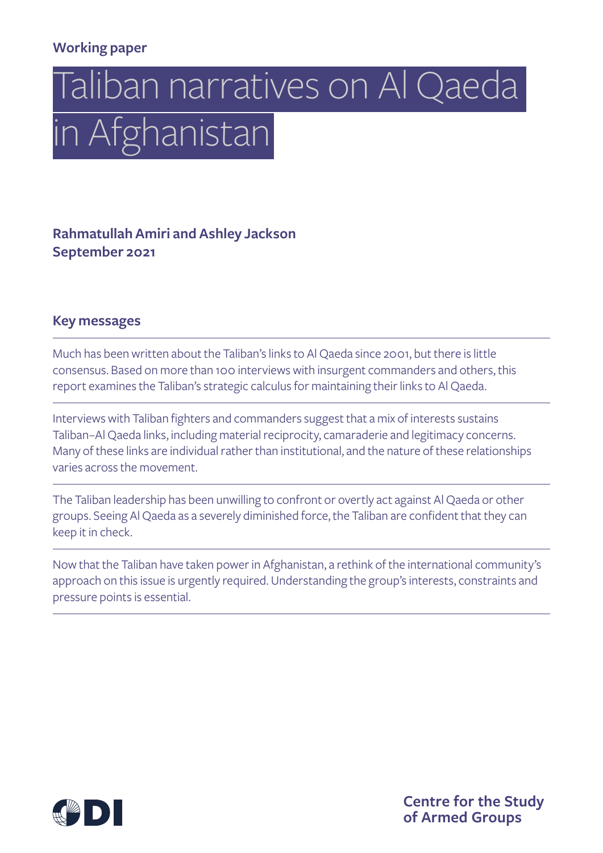#### **Working paper**

# Taliban narratives on Al Qaeda in Afghanistan

#### **Rahmatullah Amiri and Ashley Jackson September 2021**

#### **Key messages**

Much has been written about the Taliban's links to Al Qaeda since 2001, but there is little consensus. Based on more than 100 interviews with insurgent commanders and others, this report examines the Taliban's strategic calculus for maintaining their links to Al Qaeda.

Interviews with Taliban fighters and commanders suggest that a mix of interests sustains Taliban–Al Qaeda links, including material reciprocity, camaraderie and legitimacy concerns. Many of these links are individual rather than institutional, and the nature of these relationships varies across the movement.

The Taliban leadership has been unwilling to confront or overtly act against Al Qaeda or other groups. Seeing Al Qaeda as a severely diminished force, the Taliban are confident that they can keep it in check.

Now that the Taliban have taken power in Afghanistan, a rethink of the international community's approach on this issue is urgently required. Understanding the group's interests, constraints and pressure points is essential.



**Centre for the Study of Armed Groups**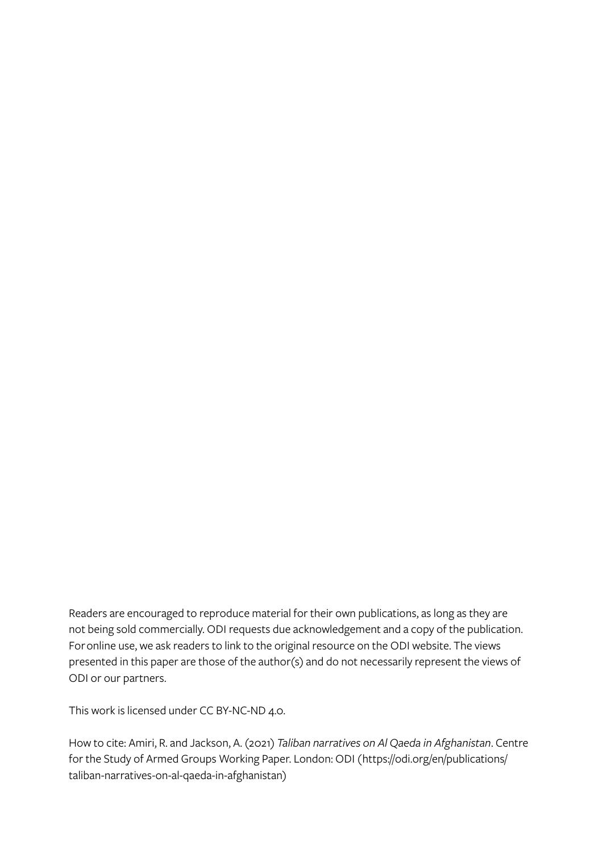Readers are encouraged to reproduce material for their own publications, as long as they are not being sold commercially. ODI requests due acknowledgement and a copy of the publication. For online use, we ask readers to link to the original resource on the ODI website. The views presented in this paper are those of the author(s) and do not necessarily represent the views of ODI or our partners.

This work is licensed under CC BY-NC-ND 4.0.

How to cite: Amiri, R. and Jackson, A. (2021) *Taliban narratives on Al Qaeda in Afghanistan*. Centre for the Study of Armed Groups Working Paper. London: ODI ([https://odi.org/en/publications/](https://odi.org/en/publications/taliban-narratives-on-al-qaeda-in-afghanistan) [taliban-narratives-on-al-qaeda-in-afghanistan\)](https://odi.org/en/publications/taliban-narratives-on-al-qaeda-in-afghanistan)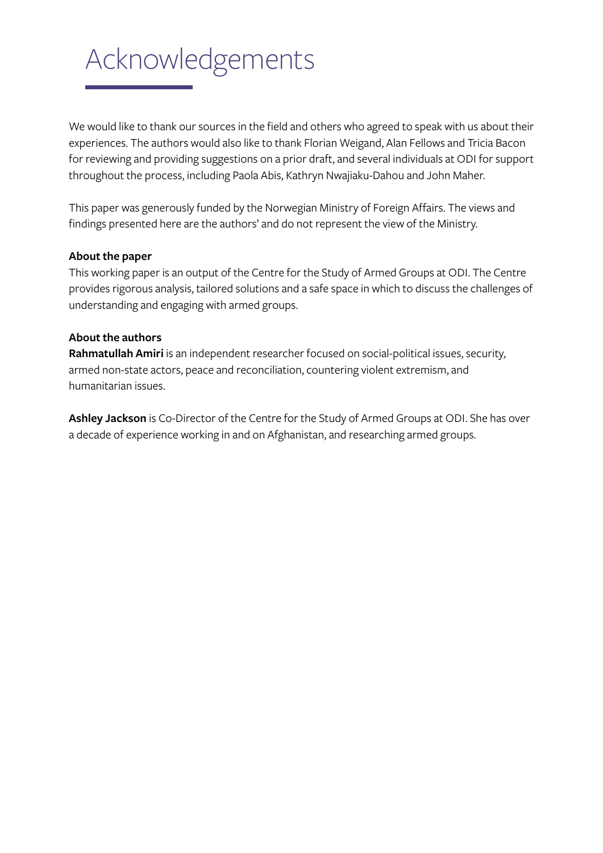## <span id="page-2-0"></span>Acknowledgements

We would like to thank our sources in the field and others who agreed to speak with us about their experiences. The authors would also like to thank Florian Weigand, Alan Fellows and Tricia Bacon for reviewing and providing suggestions on a prior draft, and several individuals at ODI for support throughout the process, including Paola Abis, Kathryn Nwajiaku-Dahou and John Maher.

This paper was generously funded by the Norwegian Ministry of Foreign Affairs. The views and findings presented here are the authors' and do not represent the view of the Ministry.

#### **About the paper**

This working paper is an output of the Centre for the Study of Armed Groups at ODI. The Centre provides rigorous analysis, tailored solutions and a safe space in which to discuss the challenges of understanding and engaging with armed groups.

#### **About the authors**

**Rahmatullah Amiri** is an independent researcher focused on social-political issues, security, armed non-state actors, peace and reconciliation, countering violent extremism, and humanitarian issues.

**Ashley Jackson** is Co-Director of the Centre for the Study of Armed Groups at ODI. She has over a decade of experience working in and on Afghanistan, and researching armed groups.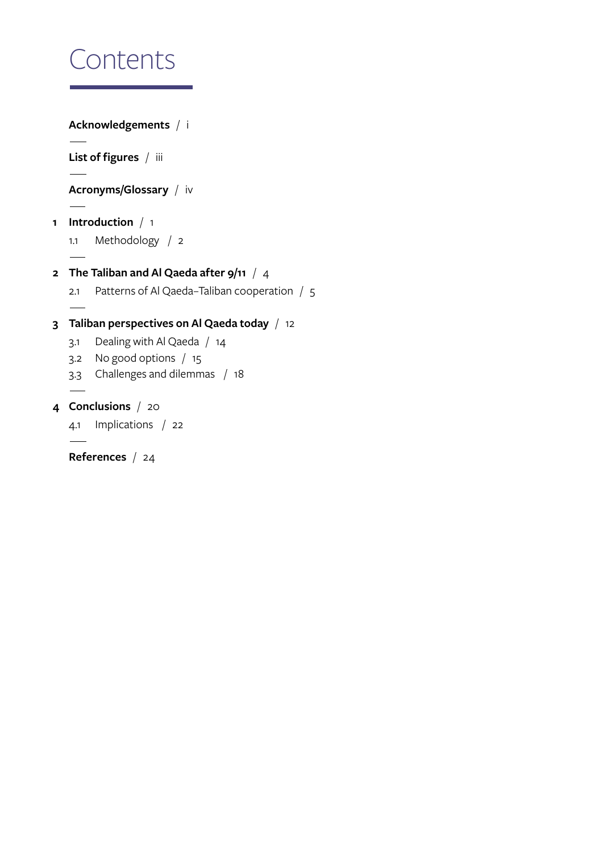### **Contents**

**[Acknowledgements](#page-2-0)** / i

```
List of figures / iii
   Acronyms/Glossary / iv
1 Introduction / 1
   1.1 Methodology / 2
2 The Taliban and Al Qaeda after 9/11 / 4
   2.1 Patterns of Al Qaeda–Taliban cooperation / 5
3 Taliban perspectives on Al Qaeda today / 12
   3.1 Dealing with Al Qaeda / 14
   3.2 No good options / 15
   3.3 Challenges and dilemmas / 18
4 Conclusions / 20
```

```
4.1 Implications / 22
```
**[References](#page-29-0)** / 24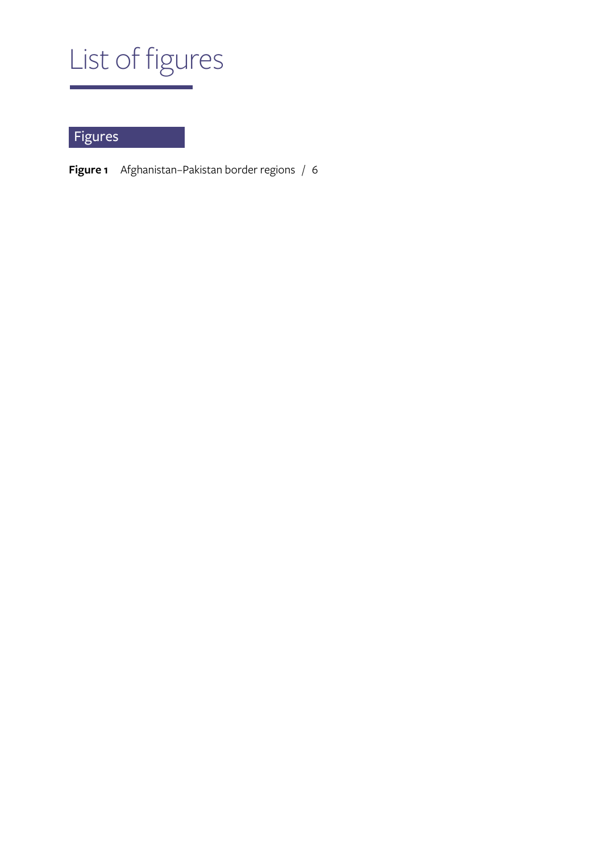# <span id="page-4-0"></span>List of figures

#### Figures

**Figure 1** [Afghanistan–Pakistan border regions](#page-11-0) / 6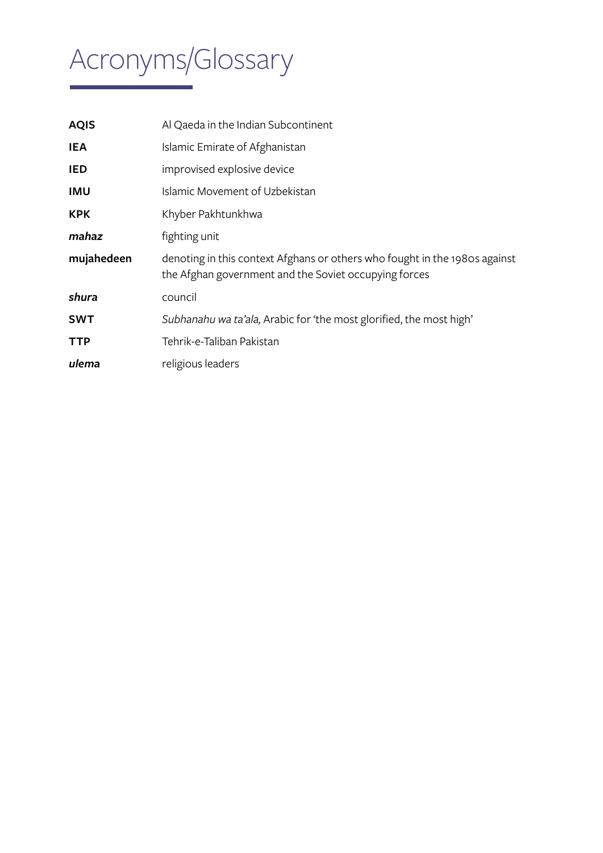# <span id="page-5-0"></span>Acronyms/Glossary

| <b>AQIS</b> | Al Qaeda in the Indian Subcontinent                                                                                                 |
|-------------|-------------------------------------------------------------------------------------------------------------------------------------|
| <b>IEA</b>  | Islamic Emirate of Afghanistan                                                                                                      |
| IED         | improvised explosive device                                                                                                         |
| <b>IMU</b>  | Islamic Movement of Uzbekistan                                                                                                      |
| <b>KPK</b>  | Khyber Pakhtunkhwa                                                                                                                  |
| mahaz       | fighting unit                                                                                                                       |
| mujahedeen  | denoting in this context Afghans or others who fought in the 1980s against<br>the Afghan government and the Soviet occupying forces |
| shura       | council                                                                                                                             |
| <b>SWT</b>  | Subhanahu wa ta'ala, Arabic for 'the most glorified, the most high'                                                                 |
| <b>TTP</b>  | Tehrik-e-Taliban Pakistan                                                                                                           |
| ulema       | religious leaders                                                                                                                   |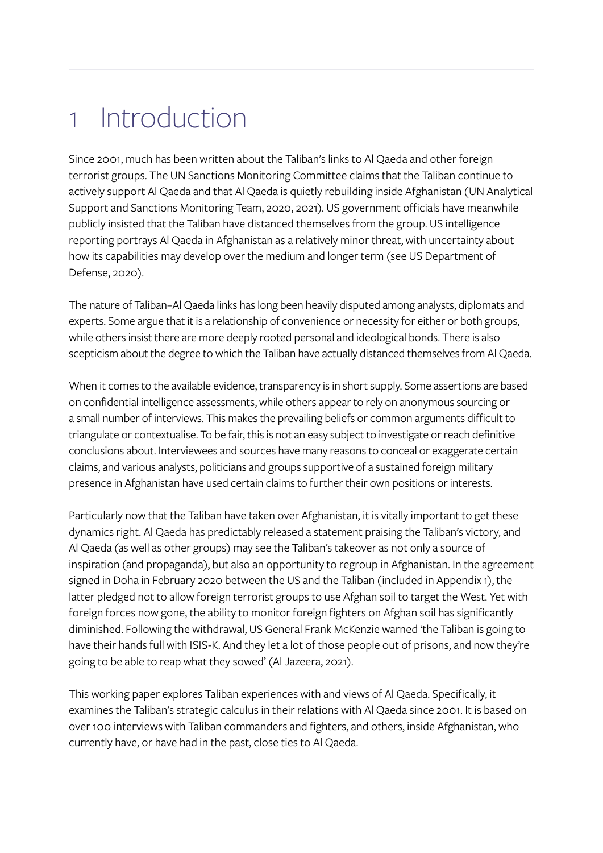### <span id="page-6-0"></span>1 Introduction

Since 2001, much has been written about the Taliban's links to Al Qaeda and other foreign terrorist groups. The UN Sanctions Monitoring Committee claims that the Taliban continue to actively support Al Qaeda and that Al Qaeda is quietly rebuilding inside Afghanistan (UN Analytical Support and Sanctions Monitoring Team, 2020, 2021). US government officials have meanwhile publicly insisted that the Taliban have distanced themselves from the group. US intelligence reporting portrays Al Qaeda in Afghanistan as a relatively minor threat, with uncertainty about how its capabilities may develop over the medium and longer term (see US Department of Defense, 2020).

The nature of Taliban–Al Qaeda links has long been heavily disputed among analysts, diplomats and experts. Some argue that it is a relationship of convenience or necessity for either or both groups, while others insist there are more deeply rooted personal and ideological bonds. There is also scepticism about the degree to which the Taliban have actually distanced themselves from Al Qaeda.

When it comes to the available evidence, transparency is in short supply. Some assertions are based on confidential intelligence assessments, while others appear to rely on anonymous sourcing or a small number of interviews. This makes the prevailing beliefs or common arguments difficult to triangulate or contextualise. To be fair, this is not an easy subject to investigate or reach definitive conclusions about. Interviewees and sources have many reasons to conceal or exaggerate certain claims, and various analysts, politicians and groups supportive of a sustained foreign military presence in Afghanistan have used certain claims to further their own positions or interests.

Particularly now that the Taliban have taken over Afghanistan, it is vitally important to get these dynamics right. Al Qaeda has predictably released a statement praising the Taliban's victory, and Al Qaeda (as well as other groups) may see the Taliban's takeover as not only a source of inspiration (and propaganda), but also an opportunity to regroup in Afghanistan. In the agreement signed in Doha in February 2020 between the US and the Taliban (included in Appendix 1), the latter pledged not to allow foreign terrorist groups to use Afghan soil to target the West. Yet with foreign forces now gone, the ability to monitor foreign fighters on Afghan soil has significantly diminished. Following the withdrawal, US General Frank McKenzie warned 'the Taliban is going to have their hands full with ISIS-K. And they let a lot of those people out of prisons, and now they're going to be able to reap what they sowed' (Al Jazeera, 2021).

This working paper explores Taliban experiences with and views of Al Qaeda. Specifically, it examines the Taliban's strategic calculus in their relations with Al Qaeda since 2001. It is based on over 100 interviews with Taliban commanders and fighters, and others, inside Afghanistan, who currently have, or have had in the past, close ties to Al Qaeda.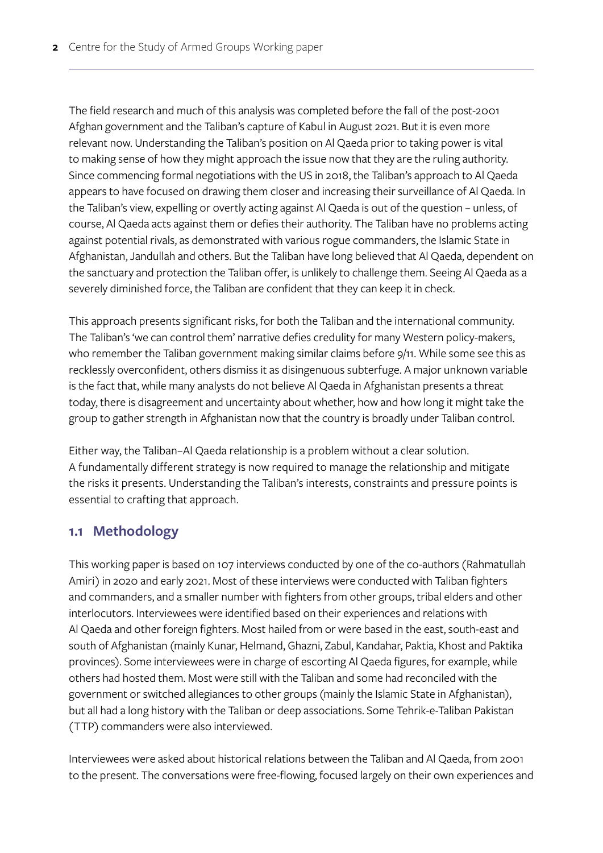<span id="page-7-0"></span>The field research and much of this analysis was completed before the fall of the post-2001 Afghan government and the Taliban's capture of Kabul in August 2021. But it is even more relevant now. Understanding the Taliban's position on Al Qaeda prior to taking power is vital to making sense of how they might approach the issue now that they are the ruling authority. Since commencing formal negotiations with the US in 2018, the Taliban's approach to Al Qaeda appears to have focused on drawing them closer and increasing their surveillance of Al Qaeda. In the Taliban's view, expelling or overtly acting against Al Qaeda is out of the question – unless, of course, Al Qaeda acts against them or defies their authority. The Taliban have no problems acting against potential rivals, as demonstrated with various rogue commanders, the Islamic State in Afghanistan, Jandullah and others. But the Taliban have long believed that Al Qaeda, dependent on the sanctuary and protection the Taliban offer, is unlikely to challenge them. Seeing Al Qaeda as a severely diminished force, the Taliban are confident that they can keep it in check.

This approach presents significant risks, for both the Taliban and the international community. The Taliban's 'we can control them' narrative defies credulity for many Western policy-makers, who remember the Taliban government making similar claims before 9/11. While some see this as recklessly overconfident, others dismiss it as disingenuous subterfuge. A major unknown variable is the fact that, while many analysts do not believe Al Qaeda in Afghanistan presents a threat today, there is disagreement and uncertainty about whether, how and how long it might take the group to gather strength in Afghanistan now that the country is broadly under Taliban control.

Either way, the Taliban–Al Qaeda relationship is a problem without a clear solution. A fundamentally different strategy is now required to manage the relationship and mitigate the risks it presents. Understanding the Taliban's interests, constraints and pressure points is essential to crafting that approach.

#### **1.1 Methodology**

This working paper is based on 107 interviews conducted by one of the co-authors (Rahmatullah Amiri) in 2020 and early 2021. Most of these interviews were conducted with Taliban fighters and commanders, and a smaller number with fighters from other groups, tribal elders and other interlocutors. Interviewees were identified based on their experiences and relations with Al Qaeda and other foreign fighters. Most hailed from or were based in the east, south-east and south of Afghanistan (mainly Kunar, Helmand, Ghazni, Zabul, Kandahar, Paktia, Khost and Paktika provinces). Some interviewees were in charge of escorting Al Qaeda figures, for example, while others had hosted them. Most were still with the Taliban and some had reconciled with the government or switched allegiances to other groups (mainly the Islamic State in Afghanistan), but all had a long history with the Taliban or deep associations. Some Tehrik-e-Taliban Pakistan (TTP) commanders were also interviewed.

Interviewees were asked about historical relations between the Taliban and Al Qaeda, from 2001 to the present. The conversations were free-flowing, focused largely on their own experiences and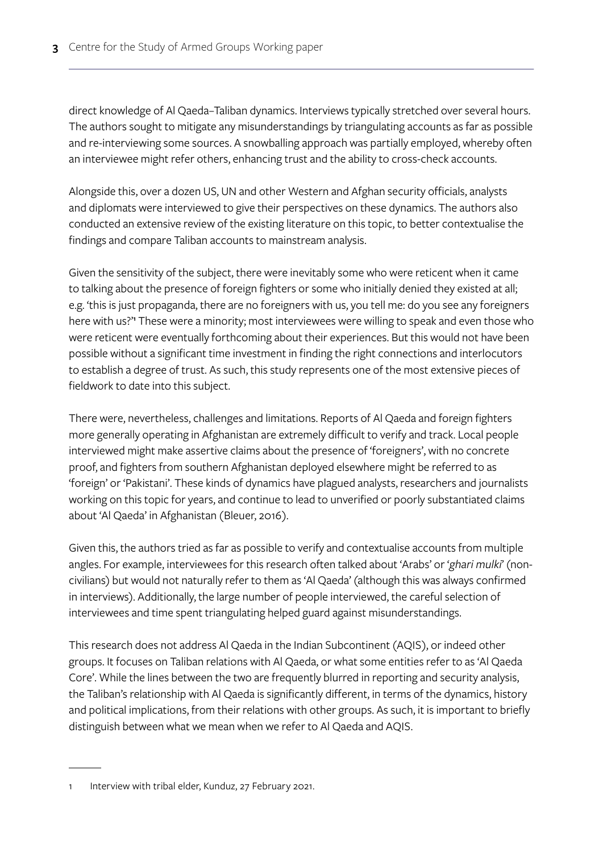direct knowledge of Al Qaeda–Taliban dynamics. Interviews typically stretched over several hours. The authors sought to mitigate any misunderstandings by triangulating accounts as far as possible and re-interviewing some sources. A snowballing approach was partially employed, whereby often an interviewee might refer others, enhancing trust and the ability to cross-check accounts.

Alongside this, over a dozen US, UN and other Western and Afghan security officials, analysts and diplomats were interviewed to give their perspectives on these dynamics. The authors also conducted an extensive review of the existing literature on this topic, to better contextualise the findings and compare Taliban accounts to mainstream analysis.

Given the sensitivity of the subject, there were inevitably some who were reticent when it came to talking about the presence of foreign fighters or some who initially denied they existed at all; e.g. 'this is just propaganda, there are no foreigners with us, you tell me: do you see any foreigners here with us?'**<sup>1</sup>** These were a minority; most interviewees were willing to speak and even those who were reticent were eventually forthcoming about their experiences. But this would not have been possible without a significant time investment in finding the right connections and interlocutors to establish a degree of trust. As such, this study represents one of the most extensive pieces of fieldwork to date into this subject.

There were, nevertheless, challenges and limitations. Reports of Al Qaeda and foreign fighters more generally operating in Afghanistan are extremely difficult to verify and track. Local people interviewed might make assertive claims about the presence of 'foreigners', with no concrete proof, and fighters from southern Afghanistan deployed elsewhere might be referred to as 'foreign' or 'Pakistani'. These kinds of dynamics have plagued analysts, researchers and journalists working on this topic for years, and continue to lead to unverified or poorly substantiated claims about 'Al Qaeda' in Afghanistan (Bleuer, 2016).

Given this, the authors tried as far as possible to verify and contextualise accounts from multiple angles. For example, interviewees for this research often talked about 'Arabs' or '*ghari mulki*' (noncivilians) but would not naturally refer to them as 'Al Qaeda' (although this was always confirmed in interviews). Additionally, the large number of people interviewed, the careful selection of interviewees and time spent triangulating helped guard against misunderstandings.

This research does not address Al Qaeda in the Indian Subcontinent (AQIS), or indeed other groups. It focuses on Taliban relations with Al Qaeda, or what some entities refer to as 'Al Qaeda Core'. While the lines between the two are frequently blurred in reporting and security analysis, the Taliban's relationship with Al Qaeda is significantly different, in terms of the dynamics, history and political implications, from their relations with other groups. As such, it is important to briefly distinguish between what we mean when we refer to Al Qaeda and AQIS.

Interview with tribal elder, Kunduz, 27 February 2021.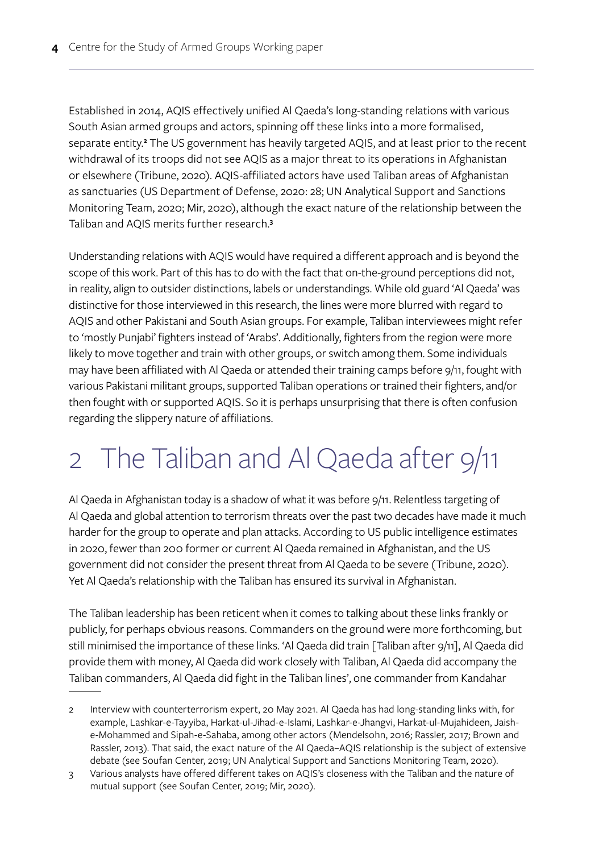<span id="page-9-0"></span>Established in 2014, AQIS effectively unified Al Qaeda's long-standing relations with various South Asian armed groups and actors, spinning off these links into a more formalised, separate entity.<sup>2</sup> The US government has heavily targeted AQIS, and at least prior to the recent withdrawal of its troops did not see AQIS as a major threat to its operations in Afghanistan or elsewhere (Tribune, 2020). AQIS-affiliated actors have used Taliban areas of Afghanistan as sanctuaries (US Department of Defense, 2020: 28; UN Analytical Support and Sanctions Monitoring Team, 2020; Mir, 2020), although the exact nature of the relationship between the Taliban and AQIS merits further research.**<sup>3</sup>**

Understanding relations with AQIS would have required a different approach and is beyond the scope of this work. Part of this has to do with the fact that on-the-ground perceptions did not, in reality, align to outsider distinctions, labels or understandings. While old guard 'Al Qaeda' was distinctive for those interviewed in this research, the lines were more blurred with regard to AQIS and other Pakistani and South Asian groups. For example, Taliban interviewees might refer to 'mostly Punjabi' fighters instead of 'Arabs'. Additionally, fighters from the region were more likely to move together and train with other groups, or switch among them. Some individuals may have been affiliated with Al Qaeda or attended their training camps before 9/11, fought with various Pakistani militant groups, supported Taliban operations or trained their fighters, and/or then fought with or supported AQIS. So it is perhaps unsurprising that there is often confusion regarding the slippery nature of affiliations.

### 2 The Taliban and Al Qaeda after 9/11

Al Qaeda in Afghanistan today is a shadow of what it was before 9/11. Relentless targeting of Al Qaeda and global attention to terrorism threats over the past two decades have made it much harder for the group to operate and plan attacks. According to US public intelligence estimates in 2020, fewer than 200 former or current Al Qaeda remained in Afghanistan, and the US government did not consider the present threat from Al Qaeda to be severe (Tribune, 2020). Yet Al Qaeda's relationship with the Taliban has ensured its survival in Afghanistan.

The Taliban leadership has been reticent when it comes to talking about these links frankly or publicly, for perhaps obvious reasons. Commanders on the ground were more forthcoming, but still minimised the importance of these links. 'Al Qaeda did train [Taliban after 9/11], Al Qaeda did provide them with money, Al Qaeda did work closely with Taliban, Al Qaeda did accompany the Taliban commanders, Al Qaeda did fight in the Taliban lines', one commander from Kandahar

<sup>2</sup> Interview with counterterrorism expert, 20 May 2021. Al Qaeda has had long-standing links with, for example, Lashkar-e-Tayyiba, Harkat-ul-Jihad-e-Islami, Lashkar-e-Jhangvi, Harkat-ul-Mujahideen, Jaishe-Mohammed and Sipah-e-Sahaba, among other actors (Mendelsohn, 2016; Rassler, 2017; Brown and Rassler, 2013). That said, the exact nature of the Al Qaeda–AQIS relationship is the subject of extensive debate (see Soufan Center, 2019; UN Analytical Support and Sanctions Monitoring Team, 2020).

<sup>3</sup> Various analysts have offered different takes on AQIS's closeness with the Taliban and the nature of mutual support (see Soufan Center, 2019; Mir, 2020).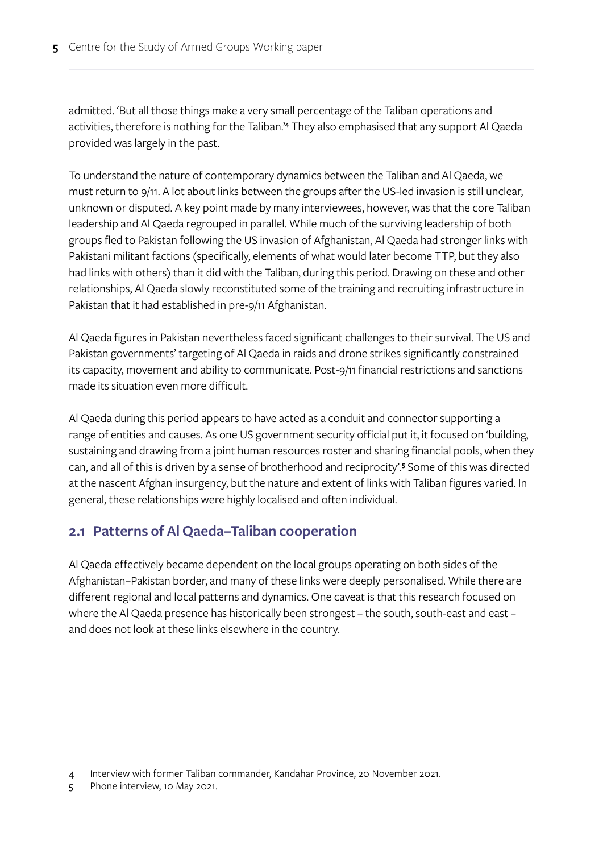<span id="page-10-0"></span>admitted. 'But all those things make a very small percentage of the Taliban operations and activities, therefore is nothing for the Taliban.'**<sup>4</sup>** They also emphasised that any support Al Qaeda provided was largely in the past.

To understand the nature of contemporary dynamics between the Taliban and Al Qaeda, we must return to 9/11. A lot about links between the groups after the US-led invasion is still unclear, unknown or disputed. A key point made by many interviewees, however, was that the core Taliban leadership and Al Qaeda regrouped in parallel. While much of the surviving leadership of both groups fled to Pakistan following the US invasion of Afghanistan, Al Qaeda had stronger links with Pakistani militant factions (specifically, elements of what would later become TTP, but they also had links with others) than it did with the Taliban, during this period. Drawing on these and other relationships, Al Qaeda slowly reconstituted some of the training and recruiting infrastructure in Pakistan that it had established in pre-9/11 Afghanistan.

Al Qaeda figures in Pakistan nevertheless faced significant challenges to their survival. The US and Pakistan governments' targeting of Al Qaeda in raids and drone strikes significantly constrained its capacity, movement and ability to communicate. Post-9/11 financial restrictions and sanctions made its situation even more difficult.

Al Qaeda during this period appears to have acted as a conduit and connector supporting a range of entities and causes. As one US government security official put it, it focused on 'building, sustaining and drawing from a joint human resources roster and sharing financial pools, when they can, and all of this is driven by a sense of brotherhood and reciprocity'.<sup>5</sup> Some of this was directed at the nascent Afghan insurgency, but the nature and extent of links with Taliban figures varied. In general, these relationships were highly localised and often individual.

#### **2.1 Patterns of Al Qaeda–Taliban cooperation**

Al Qaeda effectively became dependent on the local groups operating on both sides of the Afghanistan–Pakistan border, and many of these links were deeply personalised. While there are different regional and local patterns and dynamics. One caveat is that this research focused on where the Al Qaeda presence has historically been strongest - the south, south-east and east and does not look at these links elsewhere in the country.

<sup>4</sup> Interview with former Taliban commander, Kandahar Province, 20 November 2021.

<sup>5</sup> Phone interview, 10 May 2021.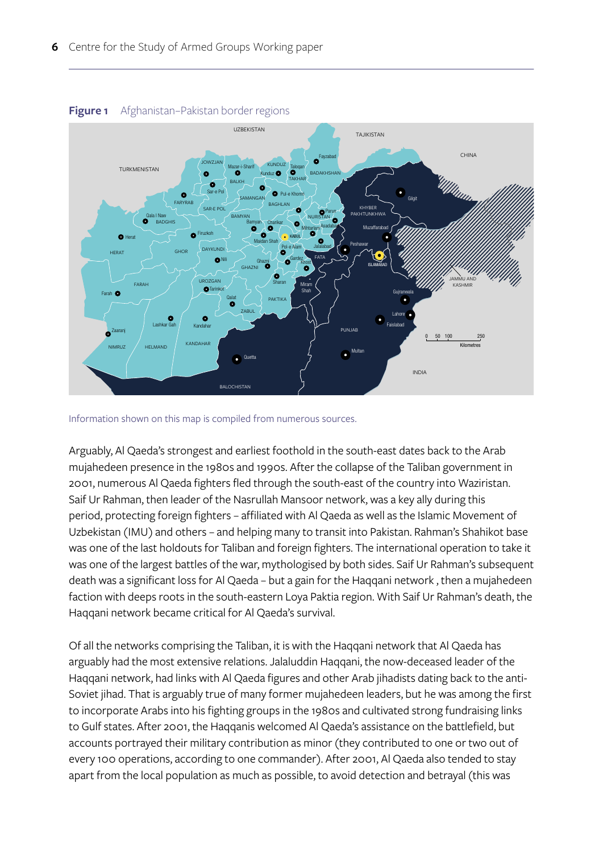

<span id="page-11-0"></span>**Figure 1** Afghanistan–Pakistan border regions

Information shown on this map is compiled from numerous sources.

period, protecting foreign fighters - affiliated with Al Qaeda as well as the Islamic Movement of 2001, numerous Al Qaeda fighters fled through the south-east of the country into Waziristan. Saif Ur Rahman, then leader of the Nasrullah Mansoor network, was a key ally during this mujahedeen presence in the 1980s and 1990s. After the collapse of the Taliban government in Arguably, Al Qaeda's strongest and earliest foothold in the south-east dates back to the Arab Uzbekistan (IMU) and others – and helping many to transit into Pakistan. Rahman's Shahikot base was one of the last holdouts for Taliban and foreign fighters. The international operation to take it was one of the largest battles of the war, mythologised by both sides. Saif Ur Rahman's subsequent death was a significant loss for Al Qaeda – but a gain for the Haqqani network , then a mujahedeen faction with deeps roots in the south-eastern Loya Paktia region. With Saif Ur Rahman's death, the Haqqani network became critical for Al Qaeda's survival.

Of all the networks comprising the Taliban, it is with the Haqqani network that Al Qaeda has arguably had the most extensive relations. Jalaluddin Haqqani, the now-deceased leader of the Haqqani network, had links with Al Qaeda figures and other Arab jihadists dating back to the anti-Soviet jihad. That is arguably true of many former mujahedeen leaders, but he was among the first to incorporate Arabs into his fighting groups in the 1980s and cultivated strong fundraising links to Gulf states. After 2001, the Haqqanis welcomed Al Qaeda's assistance on the battlefield, but accounts portrayed their military contribution as minor (they contributed to one or two out of every 100 operations, according to one commander). After 2001, Al Qaeda also tended to stay apart from the local population as much as possible, to avoid detection and betrayal (this was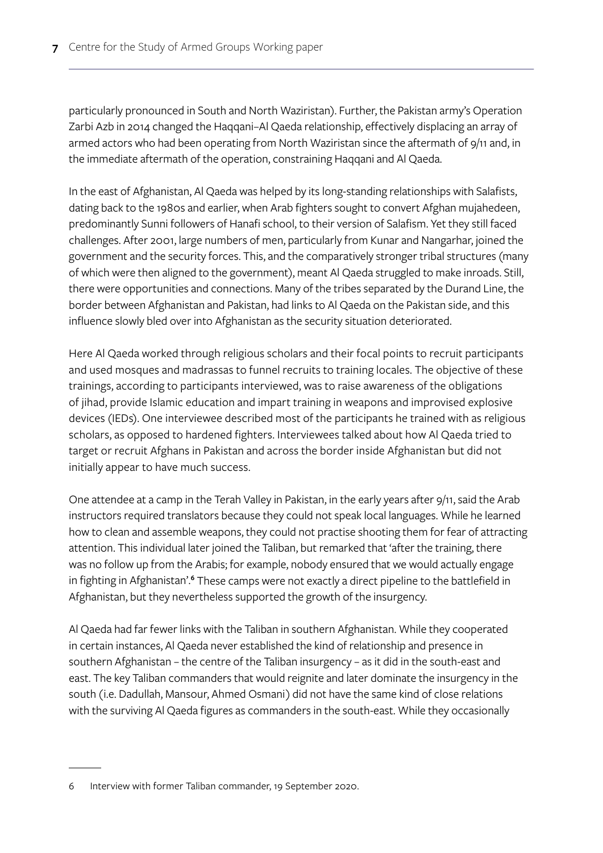particularly pronounced in South and North Waziristan). Further, the Pakistan army's Operation Zarbi Azb in 2014 changed the Haqqani–Al Qaeda relationship, effectively displacing an array of armed actors who had been operating from North Waziristan since the aftermath of 9/11 and, in the immediate aftermath of the operation, constraining Haqqani and Al Qaeda.

In the east of Afghanistan, Al Qaeda was helped by its long-standing relationships with Salafists, dating back to the 1980s and earlier, when Arab fighters sought to convert Afghan mujahedeen, predominantly Sunni followers of Hanafi school, to their version of Salafism. Yet they still faced challenges. After 2001, large numbers of men, particularly from Kunar and Nangarhar, joined the government and the security forces. This, and the comparatively stronger tribal structures (many of which were then aligned to the government), meant Al Qaeda struggled to make inroads. Still, there were opportunities and connections. Many of the tribes separated by the Durand Line, the border between Afghanistan and Pakistan, had links to Al Qaeda on the Pakistan side, and this influence slowly bled over into Afghanistan as the security situation deteriorated.

Here Al Qaeda worked through religious scholars and their focal points to recruit participants and used mosques and madrassas to funnel recruits to training locales. The objective of these trainings, according to participants interviewed, was to raise awareness of the obligations of jihad, provide Islamic education and impart training in weapons and improvised explosive devices (IEDs). One interviewee described most of the participants he trained with as religious scholars, as opposed to hardened fighters. Interviewees talked about how Al Qaeda tried to target or recruit Afghans in Pakistan and across the border inside Afghanistan but did not initially appear to have much success.

One attendee at a camp in the Terah Valley in Pakistan, in the early years after 9/11, said the Arab instructors required translators because they could not speak local languages. While he learned how to clean and assemble weapons, they could not practise shooting them for fear of attracting attention. This individual later joined the Taliban, but remarked that 'after the training, there was no follow up from the Arabis; for example, nobody ensured that we would actually engage in fighting in Afghanistan'.<sup>6</sup> These camps were not exactly a direct pipeline to the battlefield in Afghanistan, but they nevertheless supported the growth of the insurgency.

Al Qaeda had far fewer links with the Taliban in southern Afghanistan. While they cooperated in certain instances, Al Qaeda never established the kind of relationship and presence in southern Afghanistan – the centre of the Taliban insurgency – as it did in the south-east and east. The key Taliban commanders that would reignite and later dominate the insurgency in the south (i.e. Dadullah, Mansour, Ahmed Osmani) did not have the same kind of close relations with the surviving Al Qaeda figures as commanders in the south-east. While they occasionally

<sup>6</sup> Interview with former Taliban commander, 19 September 2020.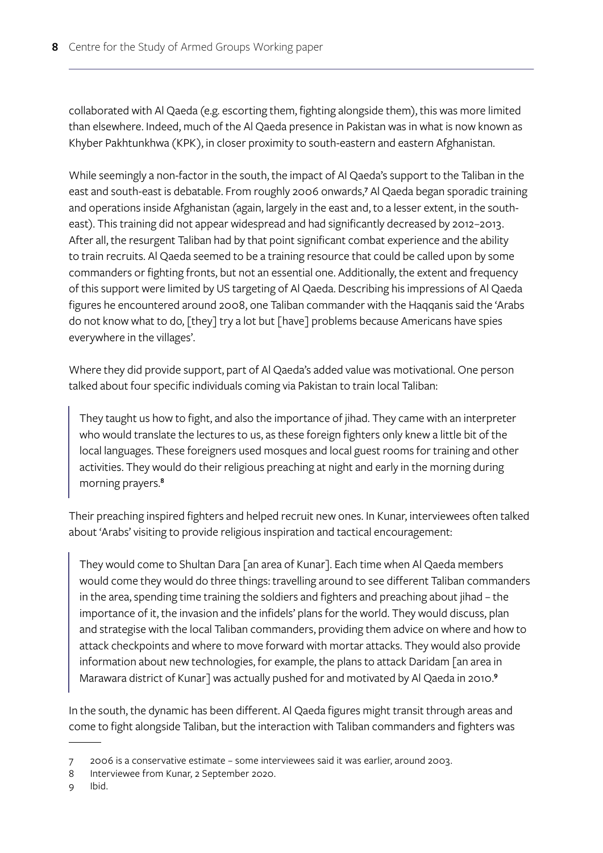collaborated with Al Qaeda (e.g. escorting them, fighting alongside them), this was more limited than elsewhere. Indeed, much of the Al Qaeda presence in Pakistan was in what is now known as Khyber Pakhtunkhwa (KPK), in closer proximity to south-eastern and eastern Afghanistan.

While seemingly a non-factor in the south, the impact of Al Qaeda's support to the Taliban in the east and south-east is debatable. From roughly 2006 onwards,<sup>7</sup> Al Qaeda began sporadic training and operations inside Afghanistan (again, largely in the east and, to a lesser extent, in the southeast). This training did not appear widespread and had significantly decreased by 2012–2013. After all, the resurgent Taliban had by that point significant combat experience and the ability to train recruits. Al Qaeda seemed to be a training resource that could be called upon by some commanders or fighting fronts, but not an essential one. Additionally, the extent and frequency of this support were limited by US targeting of Al Qaeda. Describing his impressions of Al Qaeda figures he encountered around 2008, one Taliban commander with the Haqqanis said the 'Arabs do not know what to do, [they] try a lot but [have] problems because Americans have spies everywhere in the villages'.

Where they did provide support, part of Al Qaeda's added value was motivational. One person talked about four specific individuals coming via Pakistan to train local Taliban:

They taught us how to fight, and also the importance of jihad. They came with an interpreter who would translate the lectures to us, as these foreign fighters only knew a little bit of the local languages. These foreigners used mosques and local guest rooms for training and other activities. They would do their religious preaching at night and early in the morning during morning prayers.**<sup>8</sup>**

Their preaching inspired fighters and helped recruit new ones. In Kunar, interviewees often talked about 'Arabs' visiting to provide religious inspiration and tactical encouragement:

They would come to Shultan Dara [an area of Kunar]. Each time when Al Qaeda members would come they would do three things: travelling around to see different Taliban commanders in the area, spending time training the soldiers and fighters and preaching about jihad – the importance of it, the invasion and the infidels' plans for the world. They would discuss, plan and strategise with the local Taliban commanders, providing them advice on where and how to attack checkpoints and where to move forward with mortar attacks. They would also provide information about new technologies, for example, the plans to attack Daridam [an area in Marawara district of Kunar] was actually pushed for and motivated by Al Qaeda in 2010.**<sup>9</sup>**

In the south, the dynamic has been different. Al Qaeda figures might transit through areas and come to fight alongside Taliban, but the interaction with Taliban commanders and fighters was

9 Ibid.

<sup>7</sup> 2006 is a conservative estimate – some interviewees said it was earlier, around 2003.

<sup>8</sup> Interviewee from Kunar, 2 September 2020.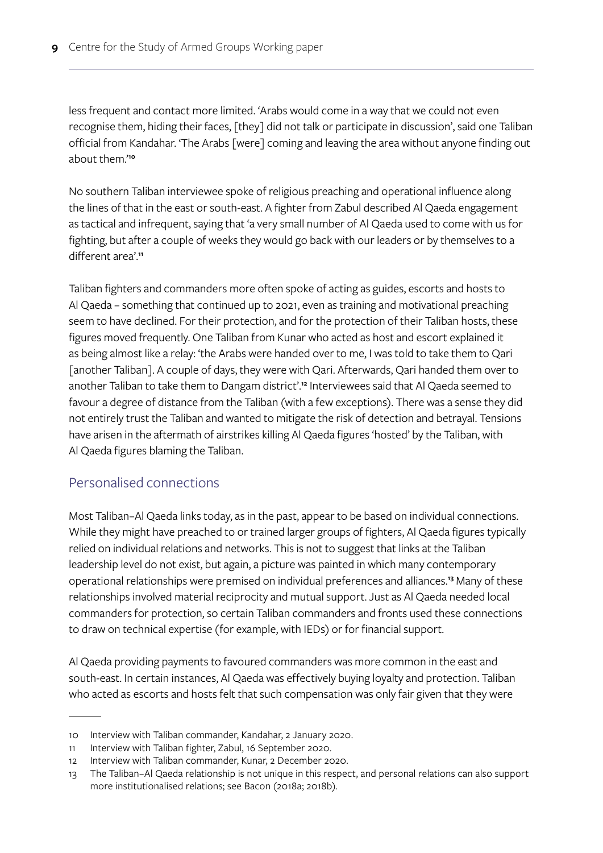less frequent and contact more limited. 'Arabs would come in a way that we could not even recognise them, hiding their faces, [they] did not talk or participate in discussion', said one Taliban official from Kandahar. 'The Arabs [were] coming and leaving the area without anyone finding out about them.'**<sup>10</sup>**

No southern Taliban interviewee spoke of religious preaching and operational influence along the lines of that in the east or south-east. A fighter from Zabul described Al Qaeda engagement as tactical and infrequent, saying that 'a very small number of Al Qaeda used to come with us for fighting, but after a couple of weeks they would go back with our leaders or by themselves to a different area'.**<sup>11</sup>**

Taliban fighters and commanders more often spoke of acting as guides, escorts and hosts to Al Qaeda – something that continued up to 2021, even as training and motivational preaching seem to have declined. For their protection, and for the protection of their Taliban hosts, these figures moved frequently. One Taliban from Kunar who acted as host and escort explained it as being almost like a relay: 'the Arabs were handed over to me, I was told to take them to Qari [another Taliban]. A couple of days, they were with Qari. Afterwards, Qari handed them over to another Taliban to take them to Dangam district'.**12** Interviewees said that Al Qaeda seemed to favour a degree of distance from the Taliban (with a few exceptions). There was a sense they did not entirely trust the Taliban and wanted to mitigate the risk of detection and betrayal. Tensions have arisen in the aftermath of airstrikes killing Al Qaeda figures 'hosted' by the Taliban, with Al Qaeda figures blaming the Taliban.

#### Personalised connections

Most Taliban–Al Qaeda links today, as in the past, appear to be based on individual connections. While they might have preached to or trained larger groups of fighters, Al Qaeda figures typically relied on individual relations and networks. This is not to suggest that links at the Taliban leadership level do not exist, but again, a picture was painted in which many contemporary operational relationships were premised on individual preferences and alliances.**13** Many of these relationships involved material reciprocity and mutual support. Just as Al Qaeda needed local commanders for protection, so certain Taliban commanders and fronts used these connections to draw on technical expertise (for example, with IEDs) or for financial support.

Al Qaeda providing payments to favoured commanders was more common in the east and south-east. In certain instances, Al Qaeda was effectively buying loyalty and protection. Taliban who acted as escorts and hosts felt that such compensation was only fair given that they were

<sup>10</sup> Interview with Taliban commander, Kandahar, 2 January 2020.

<sup>11</sup> Interview with Taliban fighter, Zabul, 16 September 2020.

<sup>12</sup> Interview with Taliban commander, Kunar, 2 December 2020.

<sup>13</sup> The Taliban–Al Qaeda relationship is not unique in this respect, and personal relations can also support more institutionalised relations; see Bacon (2018a; 2018b).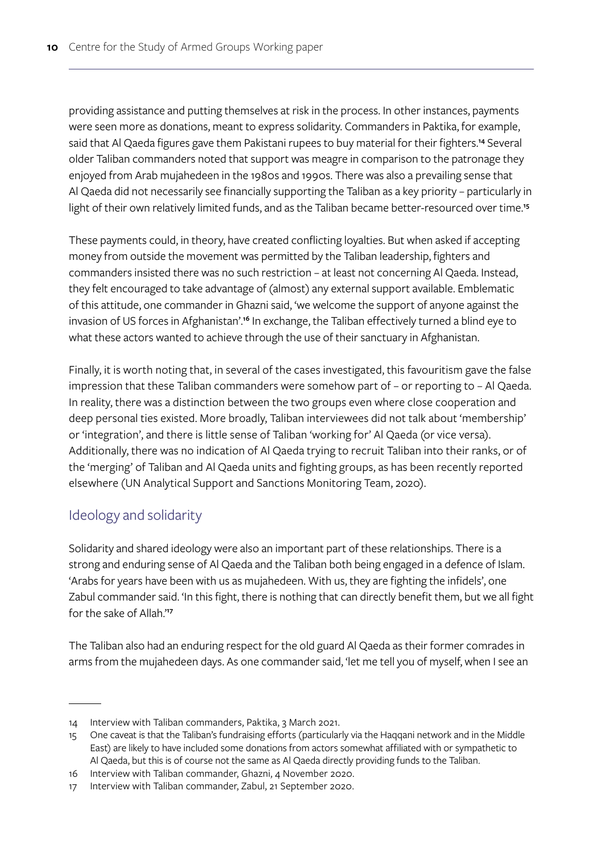providing assistance and putting themselves at risk in the process. In other instances, payments were seen more as donations, meant to express solidarity. Commanders in Paktika, for example, said that Al Qaeda figures gave them Pakistani rupees to buy material for their fighters.**14** Several older Taliban commanders noted that support was meagre in comparison to the patronage they enjoyed from Arab mujahedeen in the 1980s and 1990s. There was also a prevailing sense that Al Qaeda did not necessarily see financially supporting the Taliban as a key priority – particularly in light of their own relatively limited funds, and as the Taliban became better-resourced over time.**<sup>15</sup>**

These payments could, in theory, have created conflicting loyalties. But when asked if accepting money from outside the movement was permitted by the Taliban leadership, fighters and commanders insisted there was no such restriction – at least not concerning Al Qaeda. Instead, they felt encouraged to take advantage of (almost) any external support available. Emblematic of this attitude, one commander in Ghazni said, 'we welcome the support of anyone against the invasion of US forces in Afghanistan'.**16** In exchange, the Taliban effectively turned a blind eye to what these actors wanted to achieve through the use of their sanctuary in Afghanistan.

Finally, it is worth noting that, in several of the cases investigated, this favouritism gave the false impression that these Taliban commanders were somehow part of – or reporting to – Al Qaeda. In reality, there was a distinction between the two groups even where close cooperation and deep personal ties existed. More broadly, Taliban interviewees did not talk about 'membership' or 'integration', and there is little sense of Taliban 'working for' Al Qaeda (or vice versa). Additionally, there was no indication of Al Qaeda trying to recruit Taliban into their ranks, or of the 'merging' of Taliban and Al Qaeda units and fighting groups, as has been recently reported elsewhere (UN Analytical Support and Sanctions Monitoring Team, 2020).

#### Ideology and solidarity

Solidarity and shared ideology were also an important part of these relationships. There is a strong and enduring sense of Al Qaeda and the Taliban both being engaged in a defence of Islam. 'Arabs for years have been with us as mujahedeen. With us, they are fighting the infidels', one Zabul commander said. 'In this fight, there is nothing that can directly benefit them, but we all fight for the sake of Allah.'**<sup>17</sup>**

The Taliban also had an enduring respect for the old guard Al Qaeda as their former comrades in arms from the mujahedeen days. As one commander said, 'let me tell you of myself, when I see an

<sup>14</sup> Interview with Taliban commanders, Paktika, 3 March 2021.

<sup>15</sup> One caveat is that the Taliban's fundraising efforts (particularly via the Haqqani network and in the Middle East) are likely to have included some donations from actors somewhat affiliated with or sympathetic to Al Qaeda, but this is of course not the same as Al Qaeda directly providing funds to the Taliban.

<sup>16</sup> Interview with Taliban commander, Ghazni, 4 November 2020.

<sup>17</sup> Interview with Taliban commander, Zabul, 21 September 2020.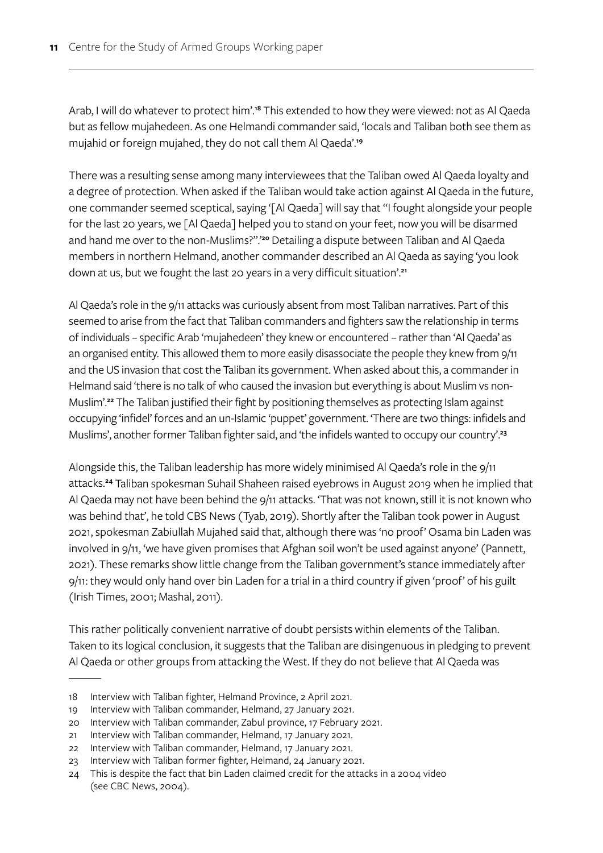Arab, I will do whatever to protect him'.**18** This extended to how they were viewed: not as Al Qaeda but as fellow mujahedeen. As one Helmandi commander said, 'locals and Taliban both see them as mujahid or foreign mujahed, they do not call them Al Qaeda'.**<sup>19</sup>**

There was a resulting sense among many interviewees that the Taliban owed Al Qaeda loyalty and a degree of protection. When asked if the Taliban would take action against Al Qaeda in the future, one commander seemed sceptical, saying '[Al Qaeda] will say that "I fought alongside your people for the last 20 years, we [Al Qaeda] helped you to stand on your feet, now you will be disarmed and hand me over to the non-Muslims?".'**20** Detailing a dispute between Taliban and Al Qaeda members in northern Helmand, another commander described an Al Qaeda as saying 'you look down at us, but we fought the last 20 years in a very difficult situation'.**<sup>21</sup>**

Al Qaeda's role in the 9/11 attacks was curiously absent from most Taliban narratives. Part of this seemed to arise from the fact that Taliban commanders and fighters saw the relationship in terms of individuals – specific Arab 'mujahedeen' they knew or encountered – rather than 'Al Qaeda' as an organised entity. This allowed them to more easily disassociate the people they knew from 9/11 and the US invasion that cost the Taliban its government. When asked about this, a commander in Helmand said 'there is no talk of who caused the invasion but everything is about Muslim vs non-Muslim'.**22** The Taliban justified their fight by positioning themselves as protecting Islam against occupying 'infidel' forces and an un-Islamic 'puppet' government. 'There are two things: infidels and Muslims', another former Taliban fighter said, and 'the infidels wanted to occupy our country'.**<sup>23</sup>**

Alongside this, the Taliban leadership has more widely minimised Al Qaeda's role in the 9/11 attacks.**24** Taliban spokesman Suhail Shaheen raised eyebrows in August 2019 when he implied that Al Qaeda may not have been behind the 9/11 attacks. 'That was not known, still it is not known who was behind that', he told CBS News (Tyab, 2019). Shortly after the Taliban took power in August 2021, spokesman Zabiullah Mujahed said that, although there was 'no proof' Osama bin Laden was involved in 9/11, 'we have given promises that Afghan soil won't be used against anyone' (Pannett, 2021). These remarks show little change from the Taliban government's stance immediately after 9/11: they would only hand over bin Laden for a trial in a third country if given 'proof' of his guilt (Irish Times, 2001; Mashal, 2011).

This rather politically convenient narrative of doubt persists within elements of the Taliban. Taken to its logical conclusion, it suggests that the Taliban are disingenuous in pledging to prevent Al Qaeda or other groups from attacking the West. If they do not believe that Al Qaeda was

<sup>18</sup> Interview with Taliban fighter, Helmand Province, 2 April 2021.

<sup>19</sup> Interview with Taliban commander, Helmand, 27 January 2021.

<sup>20</sup> Interview with Taliban commander, Zabul province, 17 February 2021.

<sup>21</sup> Interview with Taliban commander, Helmand, 17 January 2021.

<sup>22</sup> Interview with Taliban commander, Helmand, 17 January 2021.

<sup>23</sup> Interview with Taliban former fighter, Helmand, 24 January 2021.

<sup>24</sup> This is despite the fact that bin Laden claimed credit for the attacks in a 2004 video (see CBC News, 2004).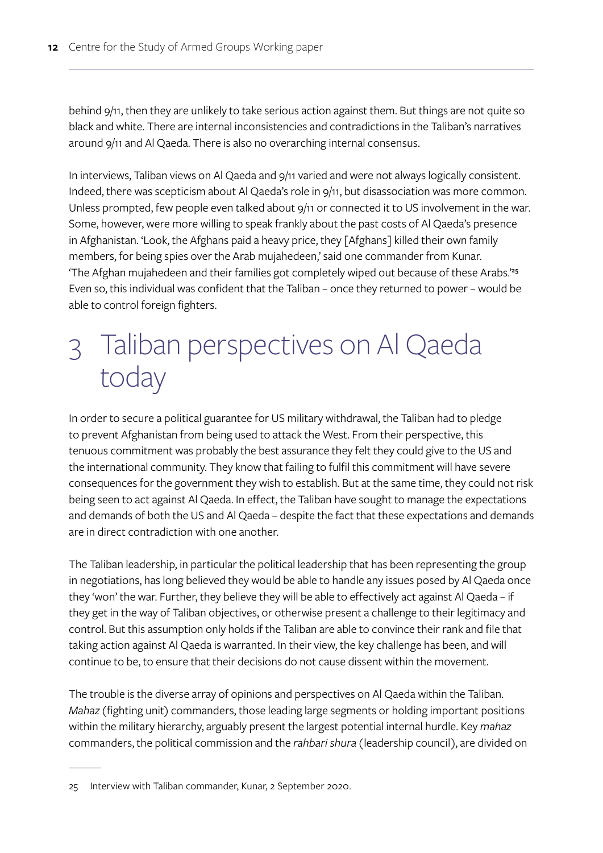<span id="page-17-0"></span>behind 9/11, then they are unlikely to take serious action against them. But things are not quite so black and white. There are internal inconsistencies and contradictions in the Taliban's narratives around 9/11 and Al Qaeda. There is also no overarching internal consensus.

In interviews, Taliban views on Al Qaeda and 9/11 varied and were not always logically consistent. Indeed, there was scepticism about Al Qaeda's role in 9/11, but disassociation was more common. Unless prompted, few people even talked about 9/11 or connected it to US involvement in the war. Some, however, were more willing to speak frankly about the past costs of Al Qaeda's presence in Afghanistan. 'Look, the Afghans paid a heavy price, they [Afghans] killed their own family members, for being spies over the Arab mujahedeen,' said one commander from Kunar. 'The Afghan mujahedeen and their families got completely wiped out because of these Arabs.'**<sup>25</sup>** Even so, this individual was confident that the Taliban – once they returned to power – would be able to control foreign fighters.

### Taliban perspectives on Al Qaeda today

In order to secure a political guarantee for US military withdrawal, the Taliban had to pledge to prevent Afghanistan from being used to attack the West. From their perspective, this tenuous commitment was probably the best assurance they felt they could give to the US and the international community. They know that failing to fulfil this commitment will have severe consequences for the government they wish to establish. But at the same time, they could not risk being seen to act against Al Qaeda. In effect, the Taliban have sought to manage the expectations and demands of both the US and Al Qaeda – despite the fact that these expectations and demands are in direct contradiction with one another.

The Taliban leadership, in particular the political leadership that has been representing the group in negotiations, has long believed they would be able to handle any issues posed by Al Qaeda once they 'won' the war. Further, they believe they will be able to effectively act against Al Qaeda – if they get in the way of Taliban objectives, or otherwise present a challenge to their legitimacy and control. But this assumption only holds if the Taliban are able to convince their rank and file that taking action against Al Qaeda is warranted. In their view, the key challenge has been, and will continue to be, to ensure that their decisions do not cause dissent within the movement.

The trouble is the diverse array of opinions and perspectives on Al Qaeda within the Taliban. *Mahaz* (fighting unit) commanders, those leading large segments or holding important positions within the military hierarchy, arguably present the largest potential internal hurdle. Key *mahaz* commanders, the political commission and the *rahbari shura* (leadership council), are divided on

<sup>25</sup> Interview with Taliban commander, Kunar, 2 September 2020.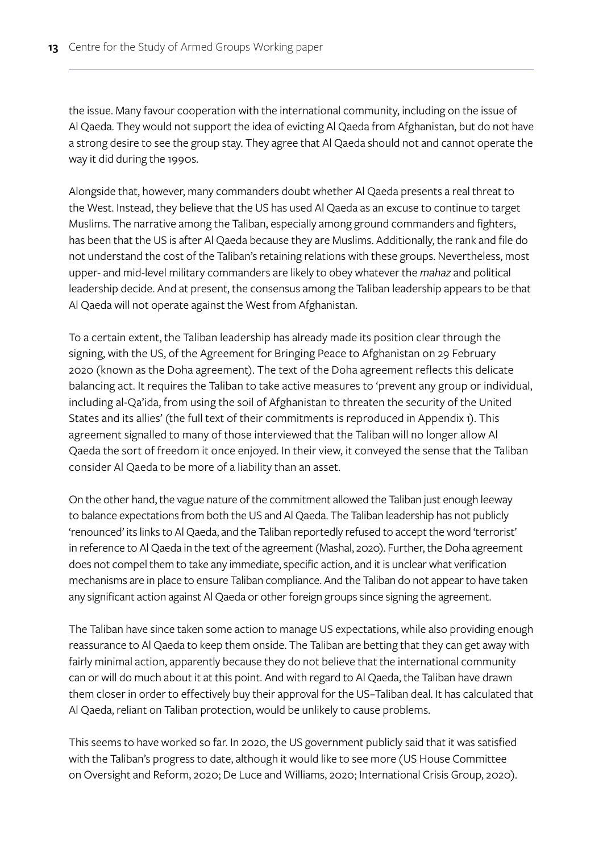the issue. Many favour cooperation with the international community, including on the issue of Al Qaeda. They would not support the idea of evicting Al Qaeda from Afghanistan, but do not have a strong desire to see the group stay. They agree that Al Qaeda should not and cannot operate the way it did during the 1990s.

Alongside that, however, many commanders doubt whether Al Qaeda presents a real threat to the West. Instead, they believe that the US has used Al Qaeda as an excuse to continue to target Muslims. The narrative among the Taliban, especially among ground commanders and fighters, has been that the US is after Al Qaeda because they are Muslims. Additionally, the rank and file do not understand the cost of the Taliban's retaining relations with these groups. Nevertheless, most upper- and mid-level military commanders are likely to obey whatever the *mahaz* and political leadership decide. And at present, the consensus among the Taliban leadership appears to be that Al Qaeda will not operate against the West from Afghanistan.

To a certain extent, the Taliban leadership has already made its position clear through the signing, with the US, of the Agreement for Bringing Peace to Afghanistan on 29 February 2020 (known as the Doha agreement). The text of the Doha agreement reflects this delicate balancing act. It requires the Taliban to take active measures to 'prevent any group or individual, including al-Qa'ida, from using the soil of Afghanistan to threaten the security of the United States and its allies' (the full text of their commitments is reproduced in Appendix 1). This agreement signalled to many of those interviewed that the Taliban will no longer allow Al Qaeda the sort of freedom it once enjoyed. In their view, it conveyed the sense that the Taliban consider Al Qaeda to be more of a liability than an asset.

On the other hand, the vague nature of the commitment allowed the Taliban just enough leeway to balance expectations from both the US and Al Qaeda. The Taliban leadership has not publicly 'renounced' its links to Al Qaeda, and the Taliban reportedly refused to accept the word 'terrorist' in reference to Al Qaeda in the text of the agreement (Mashal, 2020). Further, the Doha agreement does not compel them to take any immediate, specific action, and it is unclear what verification mechanisms are in place to ensure Taliban compliance. And the Taliban do not appear to have taken any significant action against Al Qaeda or other foreign groups since signing the agreement.

The Taliban have since taken some action to manage US expectations, while also providing enough reassurance to Al Qaeda to keep them onside. The Taliban are betting that they can get away with fairly minimal action, apparently because they do not believe that the international community can or will do much about it at this point. And with regard to Al Qaeda, the Taliban have drawn them closer in order to effectively buy their approval for the US–Taliban deal. It has calculated that Al Qaeda, reliant on Taliban protection, would be unlikely to cause problems.

This seems to have worked so far. In 2020, the US government publicly said that it was satisfied with the Taliban's progress to date, although it would like to see more (US House Committee on Oversight and Reform, 2020; De Luce and Williams, 2020; International Crisis Group, 2020).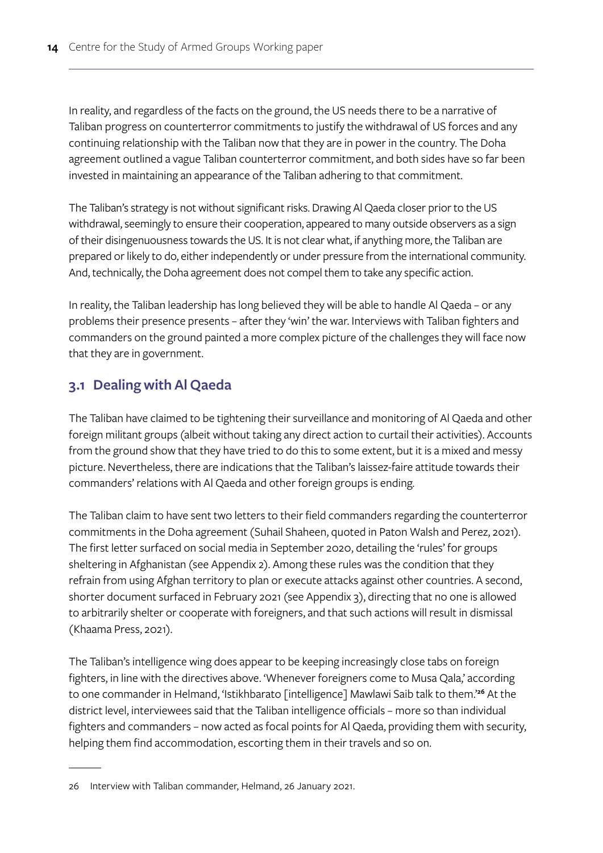<span id="page-19-0"></span>In reality, and regardless of the facts on the ground, the US needs there to be a narrative of Taliban progress on counterterror commitments to justify the withdrawal of US forces and any continuing relationship with the Taliban now that they are in power in the country. The Doha agreement outlined a vague Taliban counterterror commitment, and both sides have so far been invested in maintaining an appearance of the Taliban adhering to that commitment.

The Taliban's strategy is not without significant risks. Drawing Al Qaeda closer prior to the US withdrawal, seemingly to ensure their cooperation, appeared to many outside observers as a sign of their disingenuousness towards the US. It is not clear what, if anything more, the Taliban are prepared or likely to do, either independently or under pressure from the international community. And, technically, the Doha agreement does not compel them to take any specific action.

In reality, the Taliban leadership has long believed they will be able to handle Al Qaeda – or any problems their presence presents – after they 'win' the war. Interviews with Taliban fighters and commanders on the ground painted a more complex picture of the challenges they will face now that they are in government.

#### **3.1 Dealing with Al Qaeda**

The Taliban have claimed to be tightening their surveillance and monitoring of Al Qaeda and other foreign militant groups (albeit without taking any direct action to curtail their activities). Accounts from the ground show that they have tried to do this to some extent, but it is a mixed and messy picture. Nevertheless, there are indications that the Taliban's laissez-faire attitude towards their commanders' relations with Al Qaeda and other foreign groups is ending.

The Taliban claim to have sent two letters to their field commanders regarding the counterterror commitments in the Doha agreement (Suhail Shaheen, quoted in Paton Walsh and Perez, 2021). The first letter surfaced on social media in September 2020, detailing the 'rules' for groups sheltering in Afghanistan (see Appendix 2). Among these rules was the condition that they refrain from using Afghan territory to plan or execute attacks against other countries. A second, shorter document surfaced in February 2021 (see Appendix 3), directing that no one is allowed to arbitrarily shelter or cooperate with foreigners, and that such actions will result in dismissal (Khaama Press, 2021).

The Taliban's intelligence wing does appear to be keeping increasingly close tabs on foreign fighters, in line with the directives above. 'Whenever foreigners come to Musa Qala,' according to one commander in Helmand, 'Istikhbarato [intelligence] Mawlawi Saib talk to them.'**26** At the district level, interviewees said that the Taliban intelligence officials – more so than individual fighters and commanders – now acted as focal points for Al Qaeda, providing them with security, helping them find accommodation, escorting them in their travels and so on.

<sup>26</sup> Interview with Taliban commander, Helmand, 26 January 2021.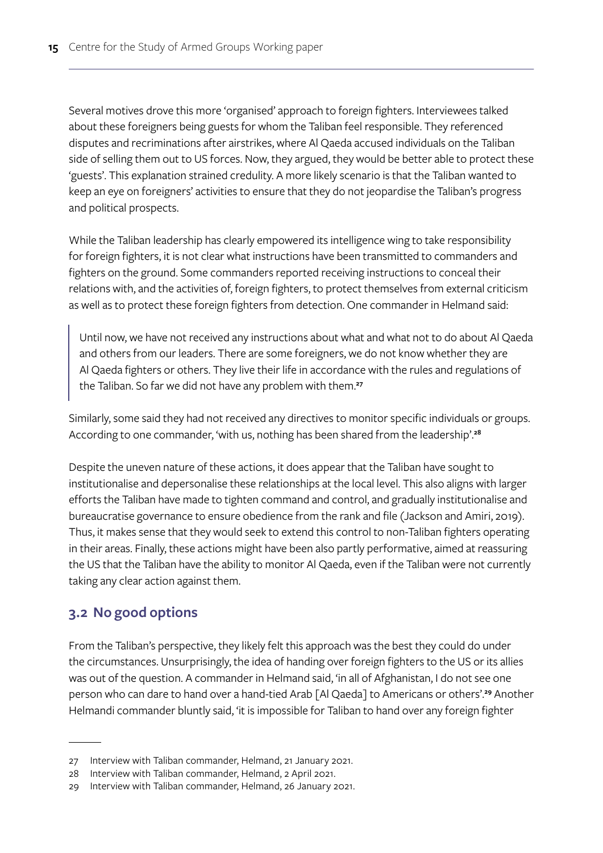<span id="page-20-0"></span>Several motives drove this more 'organised' approach to foreign fighters. Interviewees talked about these foreigners being guests for whom the Taliban feel responsible. They referenced disputes and recriminations after airstrikes, where Al Qaeda accused individuals on the Taliban side of selling them out to US forces. Now, they argued, they would be better able to protect these 'guests'. This explanation strained credulity. A more likely scenario is that the Taliban wanted to keep an eye on foreigners' activities to ensure that they do not jeopardise the Taliban's progress and political prospects.

While the Taliban leadership has clearly empowered its intelligence wing to take responsibility for foreign fighters, it is not clear what instructions have been transmitted to commanders and fighters on the ground. Some commanders reported receiving instructions to conceal their relations with, and the activities of, foreign fighters, to protect themselves from external criticism as well as to protect these foreign fighters from detection. One commander in Helmand said:

Until now, we have not received any instructions about what and what not to do about Al Qaeda and others from our leaders. There are some foreigners, we do not know whether they are Al Qaeda fighters or others. They live their life in accordance with the rules and regulations of the Taliban. So far we did not have any problem with them.**<sup>27</sup>**

Similarly, some said they had not received any directives to monitor specific individuals or groups. According to one commander, 'with us, nothing has been shared from the leadership'.**<sup>28</sup>**

Despite the uneven nature of these actions, it does appear that the Taliban have sought to institutionalise and depersonalise these relationships at the local level. This also aligns with larger efforts the Taliban have made to tighten command and control, and gradually institutionalise and bureaucratise governance to ensure obedience from the rank and file (Jackson and Amiri, 2019). Thus, it makes sense that they would seek to extend this control to non-Taliban fighters operating in their areas. Finally, these actions might have been also partly performative, aimed at reassuring the US that the Taliban have the ability to monitor Al Qaeda, even if the Taliban were not currently taking any clear action against them.

#### **3.2 No good options**

From the Taliban's perspective, they likely felt this approach was the best they could do under the circumstances. Unsurprisingly, the idea of handing over foreign fighters to the US or its allies was out of the question. A commander in Helmand said, 'in all of Afghanistan, I do not see one person who can dare to hand over a hand-tied Arab [Al Qaeda] to Americans or others'.**29** Another Helmandi commander bluntly said, 'it is impossible for Taliban to hand over any foreign fighter

<sup>27</sup> Interview with Taliban commander, Helmand, 21 January 2021.

<sup>28</sup> Interview with Taliban commander, Helmand, 2 April 2021.

<sup>29</sup> Interview with Taliban commander, Helmand, 26 January 2021.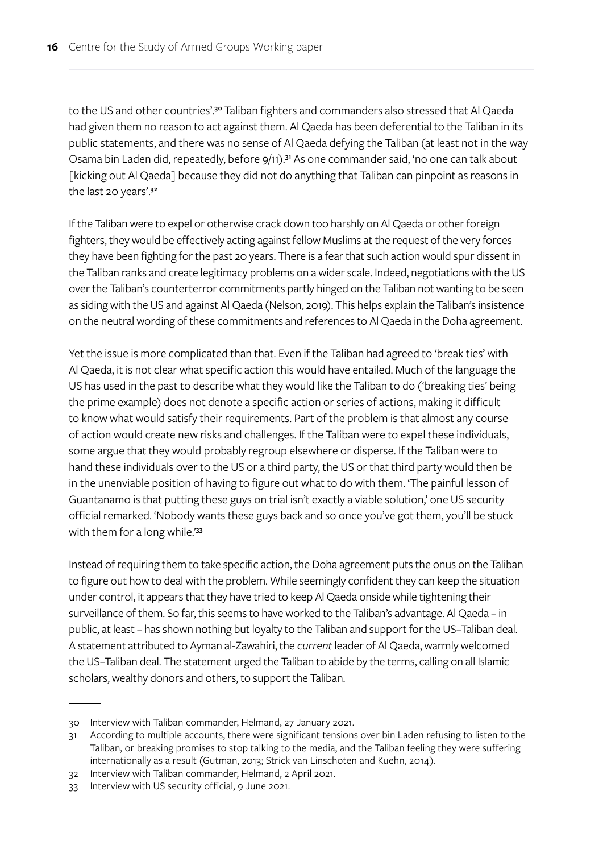to the US and other countries'.**30** Taliban fighters and commanders also stressed that Al Qaeda had given them no reason to act against them. Al Qaeda has been deferential to the Taliban in its public statements, and there was no sense of Al Qaeda defying the Taliban (at least not in the way Osama bin Laden did, repeatedly, before 9/11).**31** As one commander said, 'no one can talk about [kicking out Al Qaeda] because they did not do anything that Taliban can pinpoint as reasons in the last 20 years'.**<sup>32</sup>**

If the Taliban were to expel or otherwise crack down too harshly on Al Qaeda or other foreign fighters, they would be effectively acting against fellow Muslims at the request of the very forces they have been fighting for the past 20 years. There is a fear that such action would spur dissent in the Taliban ranks and create legitimacy problems on a wider scale. Indeed, negotiations with the US over the Taliban's counterterror commitments partly hinged on the Taliban not wanting to be seen as siding with the US and against Al Qaeda (Nelson, 2019). This helps explain the Taliban's insistence on the neutral wording of these commitments and references to Al Qaeda in the Doha agreement.

Yet the issue is more complicated than that. Even if the Taliban had agreed to 'break ties' with Al Qaeda, it is not clear what specific action this would have entailed. Much of the language the US has used in the past to describe what they would like the Taliban to do ('breaking ties' being the prime example) does not denote a specific action or series of actions, making it difficult to know what would satisfy their requirements. Part of the problem is that almost any course of action would create new risks and challenges. If the Taliban were to expel these individuals, some argue that they would probably regroup elsewhere or disperse. If the Taliban were to hand these individuals over to the US or a third party, the US or that third party would then be in the unenviable position of having to figure out what to do with them. 'The painful lesson of Guantanamo is that putting these guys on trial isn't exactly a viable solution,' one US security official remarked. 'Nobody wants these guys back and so once you've got them, you'll be stuck with them for a long while.'**<sup>33</sup>**

Instead of requiring them to take specific action, the Doha agreement puts the onus on the Taliban to figure out how to deal with the problem. While seemingly confident they can keep the situation under control, it appears that they have tried to keep Al Qaeda onside while tightening their surveillance of them. So far, this seems to have worked to the Taliban's advantage. Al Qaeda – in public, at least – has shown nothing but loyalty to the Taliban and support for the US–Taliban deal. A statement attributed to Ayman al-Zawahiri, the *current* leader of Al Qaeda, warmly welcomed the US–Taliban deal. The statement urged the Taliban to abide by the terms, calling on all Islamic scholars, wealthy donors and others, to support the Taliban.

<sup>30</sup> Interview with Taliban commander, Helmand, 27 January 2021.

<sup>31</sup> According to multiple accounts, there were significant tensions over bin Laden refusing to listen to the Taliban, or breaking promises to stop talking to the media, and the Taliban feeling they were suffering internationally as a result (Gutman, 2013; Strick van Linschoten and Kuehn, 2014).

<sup>32</sup> Interview with Taliban commander, Helmand, 2 April 2021.

<sup>33</sup> Interview with US security official, 9 June 2021.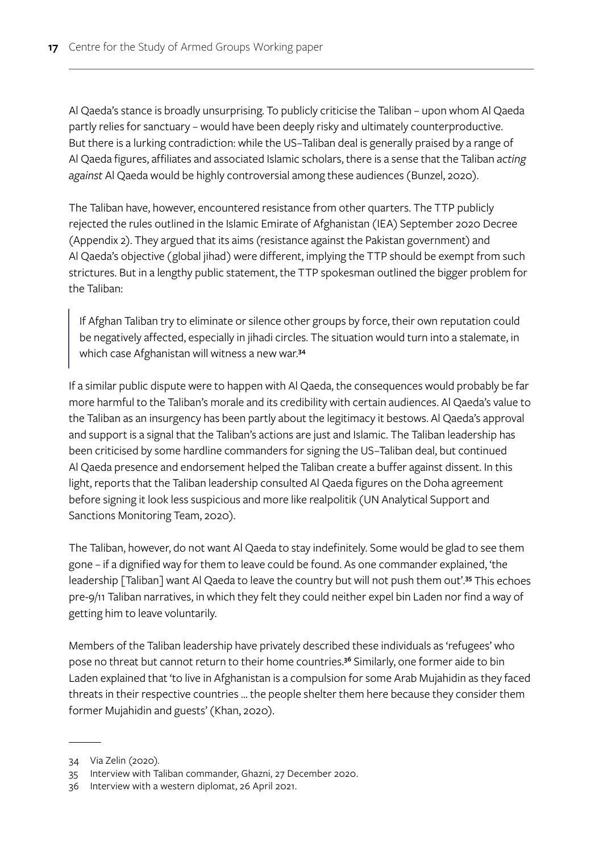Al Qaeda's stance is broadly unsurprising. To publicly criticise the Taliban – upon whom Al Qaeda partly relies for sanctuary – would have been deeply risky and ultimately counterproductive. But there is a lurking contradiction: while the US–Taliban deal is generally praised by a range of Al Qaeda figures, affiliates and associated Islamic scholars, there is a sense that the Taliban *acting against* Al Qaeda would be highly controversial among these audiences (Bunzel, 2020).

The Taliban have, however, encountered resistance from other quarters. The TTP publicly rejected the rules outlined in the Islamic Emirate of Afghanistan (IEA) September 2020 Decree (Appendix 2). They argued that its aims (resistance against the Pakistan government) and Al Qaeda's objective (global jihad) were different, implying the TTP should be exempt from such strictures. But in a lengthy public statement, the TTP spokesman outlined the bigger problem for the Taliban:

If Afghan Taliban try to eliminate or silence other groups by force, their own reputation could be negatively affected, especially in jihadi circles. The situation would turn into a stalemate, in which case Afghanistan will witness a new war.**<sup>34</sup>**

If a similar public dispute were to happen with Al Qaeda, the consequences would probably be far more harmful to the Taliban's morale and its credibility with certain audiences. Al Qaeda's value to the Taliban as an insurgency has been partly about the legitimacy it bestows. Al Qaeda's approval and support is a signal that the Taliban's actions are just and Islamic. The Taliban leadership has been criticised by some hardline commanders for signing the US–Taliban deal, but continued Al Qaeda presence and endorsement helped the Taliban create a buffer against dissent. In this light, reports that the Taliban leadership consulted Al Qaeda figures on the Doha agreement before signing it look less suspicious and more like realpolitik (UN Analytical Support and Sanctions Monitoring Team, 2020).

The Taliban, however, do not want Al Qaeda to stay indefinitely. Some would be glad to see them gone – if a dignified way for them to leave could be found. As one commander explained, 'the leadership [Taliban] want Al Qaeda to leave the country but will not push them out'.**35** This echoes pre-9/11 Taliban narratives, in which they felt they could neither expel bin Laden nor find a way of getting him to leave voluntarily.

Members of the Taliban leadership have privately described these individuals as 'refugees' who pose no threat but cannot return to their home countries.**36** Similarly, one former aide to bin Laden explained that 'to live in Afghanistan is a compulsion for some Arab Mujahidin as they faced threats in their respective countries … the people shelter them here because they consider them former Mujahidin and guests' (Khan, 2020).

<sup>34</sup> Via Zelin (2020).

<sup>35</sup> Interview with Taliban commander, Ghazni, 27 December 2020.

<sup>36</sup> Interview with a western diplomat, 26 April 2021.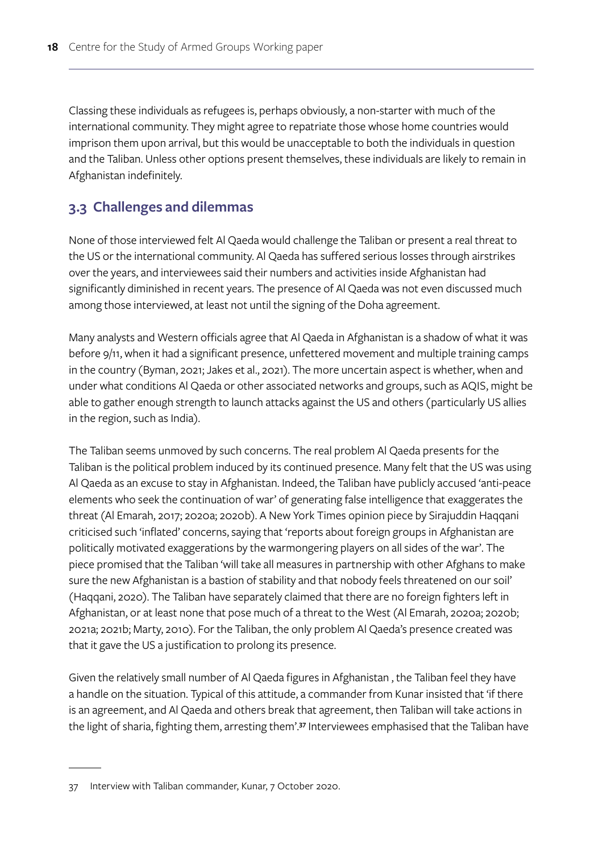<span id="page-23-0"></span>Classing these individuals as refugees is, perhaps obviously, a non-starter with much of the international community. They might agree to repatriate those whose home countries would imprison them upon arrival, but this would be unacceptable to both the individuals in question and the Taliban. Unless other options present themselves, these individuals are likely to remain in Afghanistan indefinitely.

#### **3.3 Challenges and dilemmas**

None of those interviewed felt Al Qaeda would challenge the Taliban or present a real threat to the US or the international community. Al Qaeda has suffered serious losses through airstrikes over the years, and interviewees said their numbers and activities inside Afghanistan had significantly diminished in recent years. The presence of Al Qaeda was not even discussed much among those interviewed, at least not until the signing of the Doha agreement.

Many analysts and Western officials agree that Al Qaeda in Afghanistan is a shadow of what it was before 9/11, when it had a significant presence, unfettered movement and multiple training camps in the country (Byman, 2021; Jakes et al., 2021). The more uncertain aspect is whether, when and under what conditions Al Qaeda or other associated networks and groups, such as AQIS, might be able to gather enough strength to launch attacks against the US and others (particularly US allies in the region, such as India).

The Taliban seems unmoved by such concerns. The real problem Al Qaeda presents for the Taliban is the political problem induced by its continued presence. Many felt that the US was using Al Qaeda as an excuse to stay in Afghanistan. Indeed, the Taliban have publicly accused 'anti-peace elements who seek the continuation of war' of generating false intelligence that exaggerates the threat (Al Emarah, 2017; 2020a; 2020b). A New York Times opinion piece by Sirajuddin Haqqani criticised such 'inflated' concerns, saying that 'reports about foreign groups in Afghanistan are politically motivated exaggerations by the warmongering players on all sides of the war'. The piece promised that the Taliban 'will take all measures in partnership with other Afghans to make sure the new Afghanistan is a bastion of stability and that nobody feels threatened on our soil' (Haqqani, 2020). The Taliban have separately claimed that there are no foreign fighters left in Afghanistan, or at least none that pose much of a threat to the West (Al Emarah, 2020a; 2020b; 2021a; 2021b; Marty, 2010). For the Taliban, the only problem Al Qaeda's presence created was that it gave the US a justification to prolong its presence.

Given the relatively small number of Al Qaeda figures in Afghanistan , the Taliban feel they have a handle on the situation. Typical of this attitude, a commander from Kunar insisted that 'if there is an agreement, and Al Qaeda and others break that agreement, then Taliban will take actions in the light of sharia, fighting them, arresting them'.**37** Interviewees emphasised that the Taliban have

<sup>37</sup> Interview with Taliban commander, Kunar, 7 October 2020.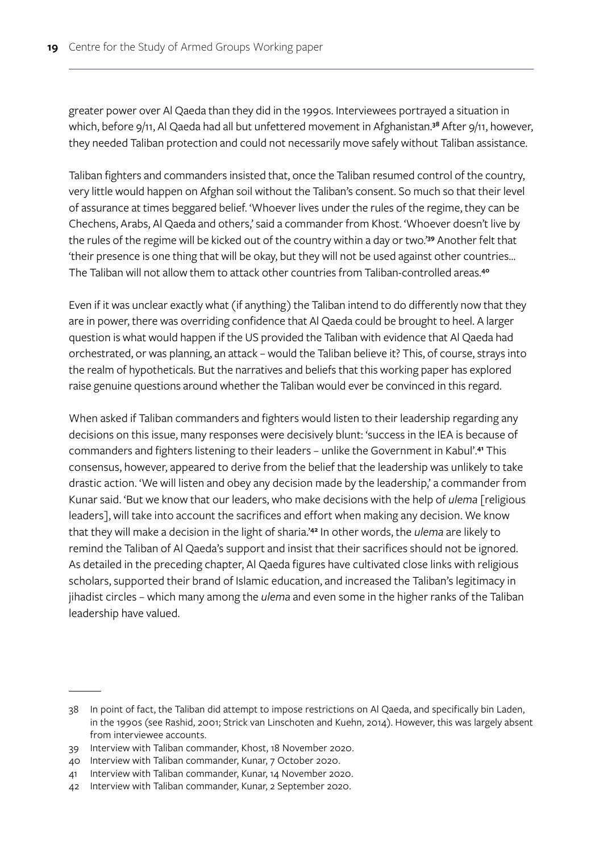greater power over Al Qaeda than they did in the 1990s. Interviewees portrayed a situation in which, before 9/11, Al Qaeda had all but unfettered movement in Afghanistan.**38** After 9/11, however, they needed Taliban protection and could not necessarily move safely without Taliban assistance.

Taliban fighters and commanders insisted that, once the Taliban resumed control of the country, very little would happen on Afghan soil without the Taliban's consent. So much so that their level of assurance at times beggared belief. 'Whoever lives under the rules of the regime, they can be Chechens, Arabs, Al Qaeda and others,' said a commander from Khost. 'Whoever doesn't live by the rules of the regime will be kicked out of the country within a day or two.'**39** Another felt that 'their presence is one thing that will be okay, but they will not be used against other countries… The Taliban will not allow them to attack other countries from Taliban-controlled areas.**<sup>40</sup>**

Even if it was unclear exactly what (if anything) the Taliban intend to do differently now that they are in power, there was overriding confidence that Al Qaeda could be brought to heel. A larger question is what would happen if the US provided the Taliban with evidence that Al Qaeda had orchestrated, or was planning, an attack – would the Taliban believe it? This, of course, strays into the realm of hypotheticals. But the narratives and beliefs that this working paper has explored raise genuine questions around whether the Taliban would ever be convinced in this regard.

When asked if Taliban commanders and fighters would listen to their leadership regarding any decisions on this issue, many responses were decisively blunt: 'success in the IEA is because of commanders and fighters listening to their leaders – unlike the Government in Kabul'.**41** This consensus, however, appeared to derive from the belief that the leadership was unlikely to take drastic action. 'We will listen and obey any decision made by the leadership,' a commander from Kunar said. 'But we know that our leaders, who make decisions with the help of *ulema* [religious leaders], will take into account the sacrifices and effort when making any decision. We know that they will make a decision in the light of sharia.'**42** In other words, the *ulema* are likely to remind the Taliban of Al Qaeda's support and insist that their sacrifices should not be ignored. As detailed in the preceding chapter, Al Qaeda figures have cultivated close links with religious scholars, supported their brand of Islamic education, and increased the Taliban's legitimacy in jihadist circles – which many among the *ulema* and even some in the higher ranks of the Taliban leadership have valued.

<sup>38</sup> In point of fact, the Taliban did attempt to impose restrictions on Al Qaeda, and specifically bin Laden, in the 1990s (see Rashid, 2001; Strick van Linschoten and Kuehn, 2014). However, this was largely absent from interviewee accounts.

<sup>39</sup> Interview with Taliban commander, Khost, 18 November 2020.

<sup>40</sup> Interview with Taliban commander, Kunar, 7 October 2020.

<sup>41</sup> Interview with Taliban commander, Kunar, 14 November 2020.

<sup>42</sup> Interview with Taliban commander, Kunar, 2 September 2020.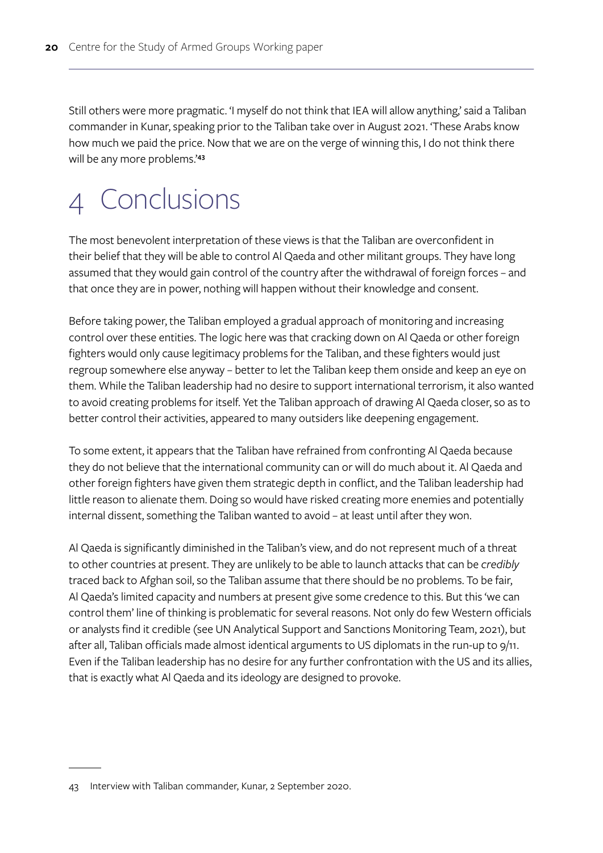<span id="page-25-0"></span>Still others were more pragmatic. 'I myself do not think that IEA will allow anything,' said a Taliban commander in Kunar, speaking prior to the Taliban take over in August 2021. 'These Arabs know how much we paid the price. Now that we are on the verge of winning this, I do not think there will be any more problems.'**<sup>43</sup>**

### 4 Conclusions

The most benevolent interpretation of these views is that the Taliban are overconfident in their belief that they will be able to control Al Qaeda and other militant groups. They have long assumed that they would gain control of the country after the withdrawal of foreign forces – and that once they are in power, nothing will happen without their knowledge and consent.

Before taking power, the Taliban employed a gradual approach of monitoring and increasing control over these entities. The logic here was that cracking down on Al Qaeda or other foreign fighters would only cause legitimacy problems for the Taliban, and these fighters would just regroup somewhere else anyway – better to let the Taliban keep them onside and keep an eye on them. While the Taliban leadership had no desire to support international terrorism, it also wanted to avoid creating problems for itself. Yet the Taliban approach of drawing Al Qaeda closer, so as to better control their activities, appeared to many outsiders like deepening engagement.

To some extent, it appears that the Taliban have refrained from confronting Al Qaeda because they do not believe that the international community can or will do much about it. Al Qaeda and other foreign fighters have given them strategic depth in conflict, and the Taliban leadership had little reason to alienate them. Doing so would have risked creating more enemies and potentially internal dissent, something the Taliban wanted to avoid – at least until after they won.

Al Qaeda is significantly diminished in the Taliban's view, and do not represent much of a threat to other countries at present. They are unlikely to be able to launch attacks that can be *credibly* traced back to Afghan soil, so the Taliban assume that there should be no problems. To be fair, Al Qaeda's limited capacity and numbers at present give some credence to this. But this 'we can control them' line of thinking is problematic for several reasons. Not only do few Western officials or analysts find it credible (see UN Analytical Support and Sanctions Monitoring Team, 2021), but after all, Taliban officials made almost identical arguments to US diplomats in the run-up to 9/11. Even if the Taliban leadership has no desire for any further confrontation with the US and its allies, that is exactly what Al Qaeda and its ideology are designed to provoke.

<sup>43</sup> Interview with Taliban commander, Kunar, 2 September 2020.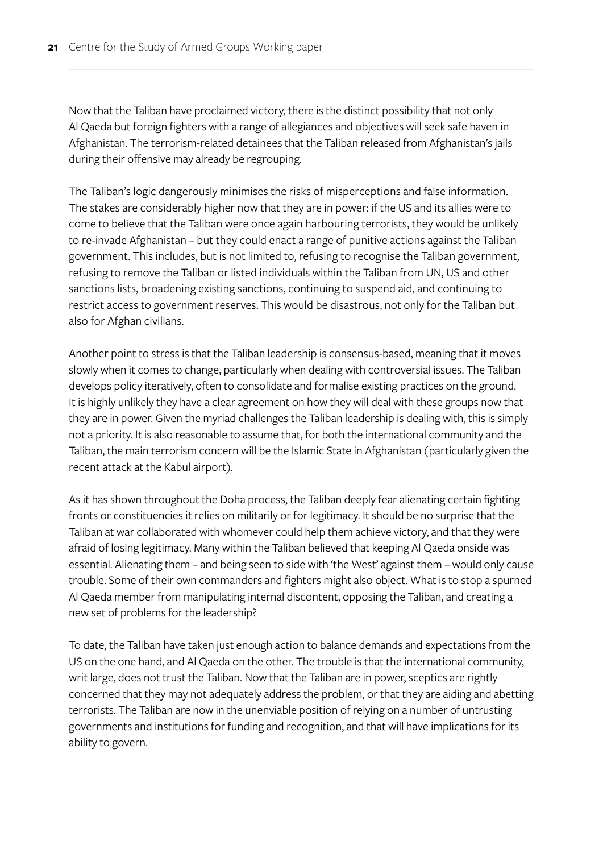Now that the Taliban have proclaimed victory, there is the distinct possibility that not only Al Qaeda but foreign fighters with a range of allegiances and objectives will seek safe haven in Afghanistan. The terrorism-related detainees that the Taliban released from Afghanistan's jails during their offensive may already be regrouping.

The Taliban's logic dangerously minimises the risks of misperceptions and false information. The stakes are considerably higher now that they are in power: if the US and its allies were to come to believe that the Taliban were once again harbouring terrorists, they would be unlikely to re-invade Afghanistan – but they could enact a range of punitive actions against the Taliban government. This includes, but is not limited to, refusing to recognise the Taliban government, refusing to remove the Taliban or listed individuals within the Taliban from UN, US and other sanctions lists, broadening existing sanctions, continuing to suspend aid, and continuing to restrict access to government reserves. This would be disastrous, not only for the Taliban but also for Afghan civilians.

Another point to stress is that the Taliban leadership is consensus-based, meaning that it moves slowly when it comes to change, particularly when dealing with controversial issues. The Taliban develops policy iteratively, often to consolidate and formalise existing practices on the ground. It is highly unlikely they have a clear agreement on how they will deal with these groups now that they are in power. Given the myriad challenges the Taliban leadership is dealing with, this is simply not a priority. It is also reasonable to assume that, for both the international community and the Taliban, the main terrorism concern will be the Islamic State in Afghanistan (particularly given the recent attack at the Kabul airport).

As it has shown throughout the Doha process, the Taliban deeply fear alienating certain fighting fronts or constituencies it relies on militarily or for legitimacy. It should be no surprise that the Taliban at war collaborated with whomever could help them achieve victory, and that they were afraid of losing legitimacy. Many within the Taliban believed that keeping Al Qaeda onside was essential. Alienating them – and being seen to side with 'the West' against them – would only cause trouble. Some of their own commanders and fighters might also object. What is to stop a spurned Al Qaeda member from manipulating internal discontent, opposing the Taliban, and creating a new set of problems for the leadership?

To date, the Taliban have taken just enough action to balance demands and expectations from the US on the one hand, and Al Qaeda on the other. The trouble is that the international community, writ large, does not trust the Taliban. Now that the Taliban are in power, sceptics are rightly concerned that they may not adequately address the problem, or that they are aiding and abetting terrorists. The Taliban are now in the unenviable position of relying on a number of untrusting governments and institutions for funding and recognition, and that will have implications for its ability to govern.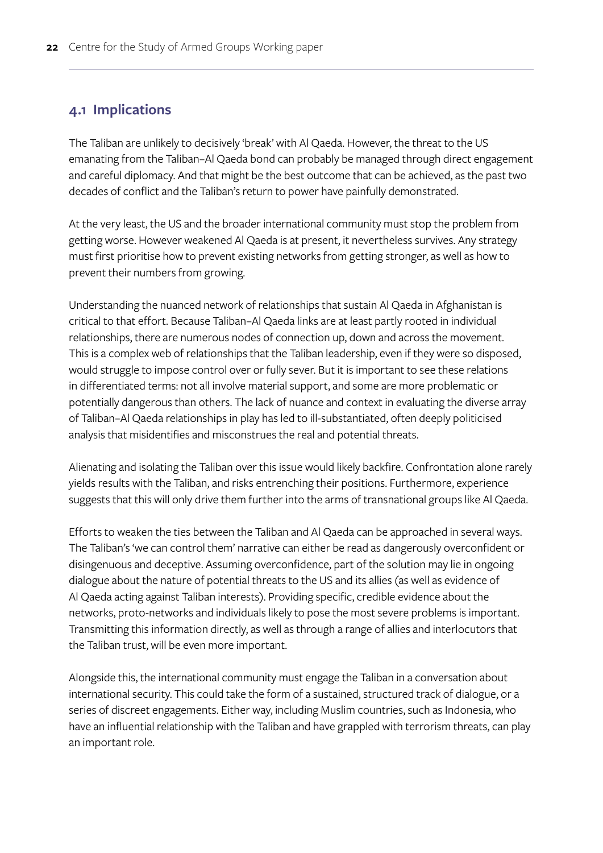#### <span id="page-27-0"></span>**4.1 Implications**

The Taliban are unlikely to decisively 'break' with Al Qaeda. However, the threat to the US emanating from the Taliban–Al Qaeda bond can probably be managed through direct engagement and careful diplomacy. And that might be the best outcome that can be achieved, as the past two decades of conflict and the Taliban's return to power have painfully demonstrated.

At the very least, the US and the broader international community must stop the problem from getting worse. However weakened Al Qaeda is at present, it nevertheless survives. Any strategy must first prioritise how to prevent existing networks from getting stronger, as well as how to prevent their numbers from growing.

Understanding the nuanced network of relationships that sustain Al Qaeda in Afghanistan is critical to that effort. Because Taliban–Al Qaeda links are at least partly rooted in individual relationships, there are numerous nodes of connection up, down and across the movement. This is a complex web of relationships that the Taliban leadership, even if they were so disposed, would struggle to impose control over or fully sever. But it is important to see these relations in differentiated terms: not all involve material support, and some are more problematic or potentially dangerous than others. The lack of nuance and context in evaluating the diverse array of Taliban–Al Qaeda relationships in play has led to ill-substantiated, often deeply politicised analysis that misidentifies and misconstrues the real and potential threats.

Alienating and isolating the Taliban over this issue would likely backfire. Confrontation alone rarely yields results with the Taliban, and risks entrenching their positions. Furthermore, experience suggests that this will only drive them further into the arms of transnational groups like Al Qaeda.

Efforts to weaken the ties between the Taliban and Al Qaeda can be approached in several ways. The Taliban's 'we can control them' narrative can either be read as dangerously overconfident or disingenuous and deceptive. Assuming overconfidence, part of the solution may lie in ongoing dialogue about the nature of potential threats to the US and its allies (as well as evidence of Al Qaeda acting against Taliban interests). Providing specific, credible evidence about the networks, proto-networks and individuals likely to pose the most severe problems is important. Transmitting this information directly, as well as through a range of allies and interlocutors that the Taliban trust, will be even more important.

Alongside this, the international community must engage the Taliban in a conversation about international security. This could take the form of a sustained, structured track of dialogue, or a series of discreet engagements. Either way, including Muslim countries, such as Indonesia, who have an influential relationship with the Taliban and have grappled with terrorism threats, can play an important role.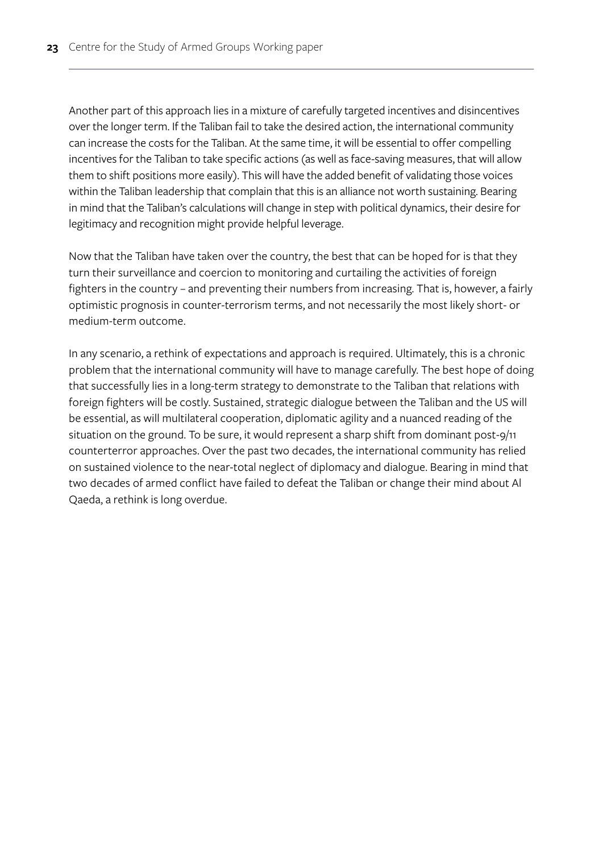Another part of this approach lies in a mixture of carefully targeted incentives and disincentives over the longer term. If the Taliban fail to take the desired action, the international community can increase the costs for the Taliban. At the same time, it will be essential to offer compelling incentives for the Taliban to take specific actions (as well as face-saving measures, that will allow them to shift positions more easily). This will have the added benefit of validating those voices within the Taliban leadership that complain that this is an alliance not worth sustaining. Bearing in mind that the Taliban's calculations will change in step with political dynamics, their desire for legitimacy and recognition might provide helpful leverage.

Now that the Taliban have taken over the country, the best that can be hoped for is that they turn their surveillance and coercion to monitoring and curtailing the activities of foreign fighters in the country – and preventing their numbers from increasing. That is, however, a fairly optimistic prognosis in counter-terrorism terms, and not necessarily the most likely short- or medium-term outcome.

In any scenario, a rethink of expectations and approach is required. Ultimately, this is a chronic problem that the international community will have to manage carefully. The best hope of doing that successfully lies in a long-term strategy to demonstrate to the Taliban that relations with foreign fighters will be costly. Sustained, strategic dialogue between the Taliban and the US will be essential, as will multilateral cooperation, diplomatic agility and a nuanced reading of the situation on the ground. To be sure, it would represent a sharp shift from dominant post-9/11 counterterror approaches. Over the past two decades, the international community has relied on sustained violence to the near-total neglect of diplomacy and dialogue. Bearing in mind that two decades of armed conflict have failed to defeat the Taliban or change their mind about Al Qaeda, a rethink is long overdue.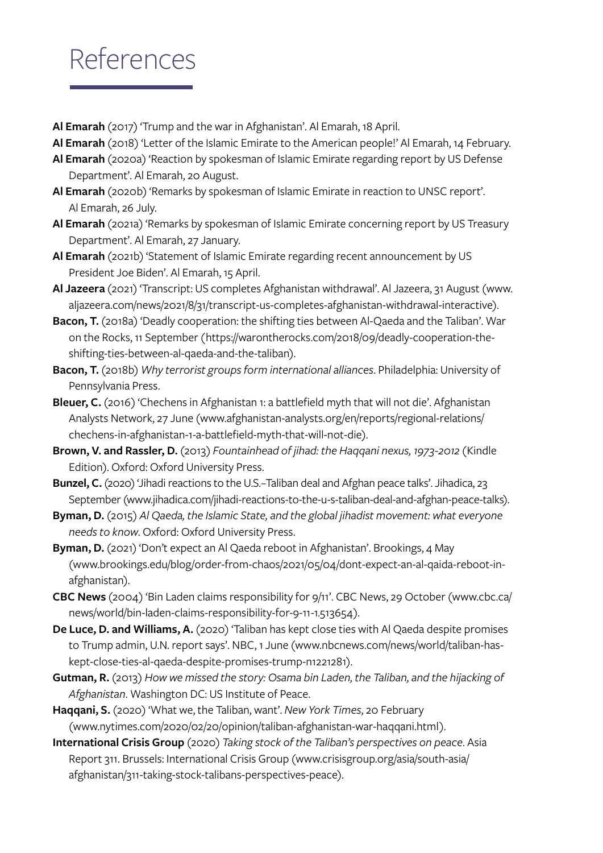### <span id="page-29-0"></span>References

- **Al Emarah** (2017) 'Trump and the war in Afghanistan'. Al Emarah, 18 April.
- **Al Emarah** (2018) 'Letter of the Islamic Emirate to the American people!' Al Emarah, 14 February.
- **Al Emarah** (2020a) 'Reaction by spokesman of Islamic Emirate regarding report by US Defense Department'. Al Emarah, 20 August.
- **Al Emarah** (2020b) 'Remarks by spokesman of Islamic Emirate in reaction to UNSC report'. Al Emarah, 26 July.
- **Al Emarah** (2021a) 'Remarks by spokesman of Islamic Emirate concerning report by US Treasury Department'. Al Emarah, 27 January.
- **Al Emarah** (2021b) 'Statement of Islamic Emirate regarding recent announcement by US President Joe Biden'. Al Emarah, 15 April.
- **Al Jazeera** (2021) 'Transcript: US completes Afghanistan withdrawal'. Al Jazeera, 31 August [\(www.](http://www.aljazeera.com/news/2021/8/31/transcript-us-completes-afghanistan-withdrawal-interactive) [aljazeera.com/news/2021/8/31/transcript-us-completes-afghanistan-withdrawal-interactive](http://www.aljazeera.com/news/2021/8/31/transcript-us-completes-afghanistan-withdrawal-interactive)).
- **Bacon, T.** (2018a) 'Deadly cooperation: the shifting ties between Al-Qaeda and the Taliban'. War on the Rocks, 11 September ([https://warontherocks.com/2018/09/deadly-cooperation-the](https://warontherocks.com/2018/09/deadly-cooperation-the-shifting-ties-between-al-qaeda-and-the-taliban)[shifting-ties-between-al-qaeda-and-the-taliban\)](https://warontherocks.com/2018/09/deadly-cooperation-the-shifting-ties-between-al-qaeda-and-the-taliban).
- **Bacon, T.** (2018b) *Why terrorist groups form international alliances*. Philadelphia: University of Pennsylvania Press.
- **Bleuer, C.** (2016) 'Chechens in Afghanistan 1: a battlefield myth that will not die'. Afghanistan Analysts Network, 27 June ([www.afghanistan-analysts.org/en/reports/regional-relations/](http://www.afghanistan-analysts.org/en/reports/regional-relations/chechens-in-afghanistan-1-a-battlefield-myth-that-will-not-die) [chechens-in-afghanistan-1-a-battlefield-myth-that-will-not-die](http://www.afghanistan-analysts.org/en/reports/regional-relations/chechens-in-afghanistan-1-a-battlefield-myth-that-will-not-die)).
- **Brown, V. and Rassler, D.** (2013) *Fountainhead of jihad: the Haqqani nexus, 1973-2012* (Kindle Edition). Oxford: Oxford University Press.
- **Bunzel, C.** (2020) 'Jihadi reactions to the U.S.–Taliban deal and Afghan peace talks'. Jihadica, 23 September [\(www.jihadica.com/jihadi-reactions-to-the-u-s-taliban-deal-and-afghan-peace-talks](http://www.jihadica.com/jihadi-reactions-to-the-u-s-taliban-deal-and-afghan-peace-talks)).
- **Byman, D.** (2015) *Al Qaeda, the Islamic State, and the global jihadist movement: what everyone needs to know*. Oxford: Oxford University Press.
- **Byman, D.** (2021) 'Don't expect an Al Qaeda reboot in Afghanistan'. Brookings, 4 May [\(www.brookings.edu/blog/order-from-chaos/2021/05/04/dont-expect-an-al-qaida-reboot-in](https://www.brookings.edu/blog/order-from-chaos/2021/05/04/dont-expect-an-al-qaida-reboot-in-afghanistan)[afghanistan](https://www.brookings.edu/blog/order-from-chaos/2021/05/04/dont-expect-an-al-qaida-reboot-in-afghanistan)).
- **CBC News** (2004) 'Bin Laden claims responsibility for 9/11'. CBC News, 29 October (www.cbc.ca/ news/world/bin-laden-claims-responsibility-for-9-11-1.513654).
- **De Luce, D. and Williams, A.** (2020) 'Taliban has kept close ties with Al Qaeda despite promises to Trump admin, U.N. report says'. NBC, 1 June [\(www.nbcnews.com/news/world/taliban-has](http://www.nbcnews.com/news/world/taliban-has-kept-close-ties-al-qaeda-despite-promises-trump-n1221281)[kept-close-ties-al-qaeda-despite-promises-trump-n1221281\)](http://www.nbcnews.com/news/world/taliban-has-kept-close-ties-al-qaeda-despite-promises-trump-n1221281).
- **Gutman, R.** (2013) *How we missed the story: Osama bin Laden, the Taliban, and the hijacking of Afghanistan*. Washington DC: US Institute of Peace.
- **Haqqani, S.** (2020) 'What we, the Taliban, want'. *New York Times*, 20 February [\(www.nytimes.com/2020/02/20/opinion/taliban-afghanistan-war-haqqani.html](http://www.nytimes.com/2020/02/20/opinion/taliban-afghanistan-war-haqqani.html)).
- **International Crisis Group** (2020) *Taking stock of the Taliban's perspectives on peace*. Asia Report 311. Brussels: International Crisis Group [\(www.crisisgroup.org/asia/south-asia/](http://www.crisisgroup.org/asia/south-asia/afghanistan/311-taking-stock-talibans-perspectives-peace) [afghanistan/311-taking-stock-talibans-perspectives-peace](http://www.crisisgroup.org/asia/south-asia/afghanistan/311-taking-stock-talibans-perspectives-peace)).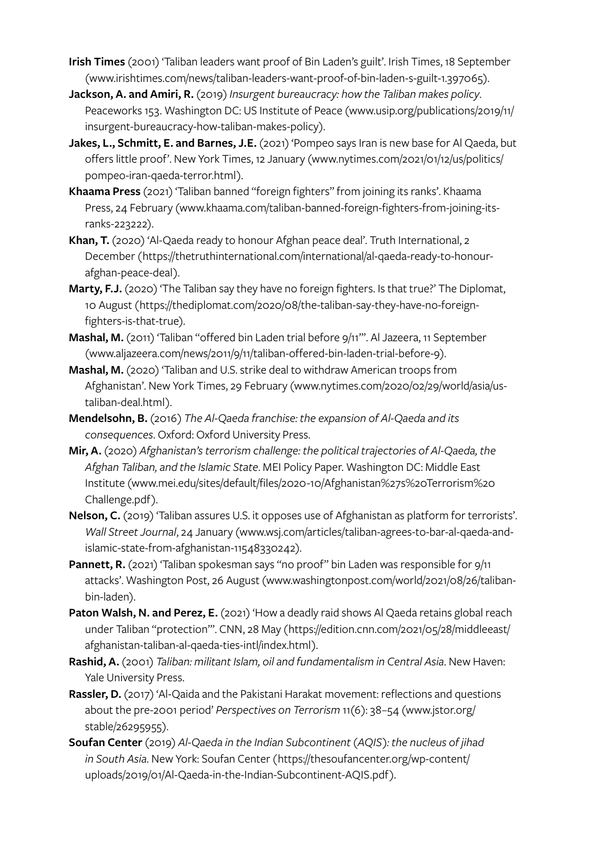- **Irish Times** (2001) 'Taliban leaders want proof of Bin Laden's guilt'. Irish Times, 18 September [\(www.irishtimes.com/news/taliban-leaders-want-proof-of-bin-laden-s-guilt-1.397065](http://www.irishtimes.com/news/taliban-leaders-want-proof-of-bin-laden-s-guilt-1.397065)).
- **Jackson, A. and Amiri, R.** (2019) *Insurgent bureaucracy: how the Taliban makes policy*. Peaceworks 153. Washington DC: US Institute of Peace ([www.usip.org/publications/2019/11/](http://www.usip.org/publications/2019/11/insurgent-bureaucracy-how-taliban-makes-policy) [insurgent-bureaucracy-how-taliban-makes-policy\)](http://www.usip.org/publications/2019/11/insurgent-bureaucracy-how-taliban-makes-policy).
- Jakes, L., Schmitt, E. and Barnes, J.E. (2021) 'Pompeo says Iran is new base for Al Qaeda, but offers little proof'. New York Times, 12 January ([www.nytimes.com/2021/01/12/us/politics/](http://www.nytimes.com/2021/01/12/us/politics/pompeo-iran-qaeda-terror.html) [pompeo-iran-qaeda-terror.html\)](http://www.nytimes.com/2021/01/12/us/politics/pompeo-iran-qaeda-terror.html).
- **Khaama Press** (2021) 'Taliban banned "foreign fighters" from joining its ranks'. Khaama Press, 24 February [\(www.khaama.com/taliban-banned-foreign-fighters-from-joining-its](http://www.khaama.com/taliban-banned-foreign-fighters-from-joining-its-ranks-223222)[ranks-223222](http://www.khaama.com/taliban-banned-foreign-fighters-from-joining-its-ranks-223222)).
- **Khan, T.** (2020) 'Al-Qaeda ready to honour Afghan peace deal'. Truth International, 2 December ([https://thetruthinternational.com/international/al-qaeda-ready-to-honour](https://thetruthinternational.com/international/al-qaeda-ready-to-honour-afghan-peace-deal)[afghan-peace-deal](https://thetruthinternational.com/international/al-qaeda-ready-to-honour-afghan-peace-deal)).
- **Marty, F.J.** (2020) 'The Taliban say they have no foreign fighters. Is that true?' The Diplomat, 10 August ([https://thediplomat.com/2020/08/the-taliban-say-they-have-no-foreign](https://thediplomat.com/2020/08/the-taliban-say-they-have-no-foreign-fighters-is-that-true)[fighters-is-that-true\)](https://thediplomat.com/2020/08/the-taliban-say-they-have-no-foreign-fighters-is-that-true).
- **Mashal, M.** (2011) 'Taliban "offered bin Laden trial before 9/11"'. Al Jazeera, 11 September [\(www.aljazeera.com/news/2011/9/11/taliban-offered-bin-laden-trial-before-9](http://www.aljazeera.com/news/2011/9/11/taliban-offered-bin-laden-trial-before-9)).
- **Mashal, M.** (2020) 'Taliban and U.S. strike deal to withdraw American troops from Afghanistan'. New York Times, 29 February ([www.nytimes.com/2020/02/29/world/asia/us](http://www.nytimes.com/2020/02/29/world/asia/us-taliban-deal.html)[taliban-deal.html\)](http://www.nytimes.com/2020/02/29/world/asia/us-taliban-deal.html).
- **Mendelsohn, B.** (2016) *The Al-Qaeda franchise: the expansion of Al-Qaeda and its consequences*. Oxford: Oxford University Press.
- **Mir, A.** (2020) *Afghanistan's terrorism challenge: the political trajectories of Al-Qaeda, the Afghan Taliban, and the Islamic State*. MEI Policy Paper. Washington DC: Middle East Institute ([www.mei.edu/sites/default/files/2020-10/Afghanistan%27s%20Terrorism%20](http://www.mei.edu/sites/default/files/2020-10/Afghanistan%27s%20Terrorism%20Challenge.pdf) [Challenge.pdf\)](http://www.mei.edu/sites/default/files/2020-10/Afghanistan%27s%20Terrorism%20Challenge.pdf).
- **Nelson, C.** (2019) 'Taliban assures U.S. it opposes use of Afghanistan as platform for terrorists'. *Wall Street Journal*, 24 January ([www.wsj.com/articles/taliban-agrees-to-bar-al-qaeda-and](http://www.wsj.com/articles/taliban-agrees-to-bar-al-qaeda-and-islamic-state-from-afghanistan-11548330242)[islamic-state-from-afghanistan-11548330242\)](http://www.wsj.com/articles/taliban-agrees-to-bar-al-qaeda-and-islamic-state-from-afghanistan-11548330242).
- **Pannett, R.** (2021) 'Taliban spokesman says "no proof" bin Laden was responsible for 9/11 attacks'. Washington Post, 26 August ([www.washingtonpost.com/world/2021/08/26/taliban](http://www.washingtonpost.com/world/2021/08/26/taliban-bin-laden)[bin-laden\)](http://www.washingtonpost.com/world/2021/08/26/taliban-bin-laden).
- Paton Walsh, N. and Perez, E. (2021) 'How a deadly raid shows Al Qaeda retains global reach under Taliban "protection"'. CNN, 28 May ([https://edition.cnn.com/2021/05/28/middleeast/](https://edition.cnn.com/2021/05/28/middleeast/afghanistan-taliban-al-qaeda-ties-intl/index.html) [afghanistan-taliban-al-qaeda-ties-intl/index.html\)](https://edition.cnn.com/2021/05/28/middleeast/afghanistan-taliban-al-qaeda-ties-intl/index.html).
- **Rashid, A.** (2001) *Taliban: militant Islam, oil and fundamentalism in Central Asia*. New Haven: Yale University Press.
- **Rassler, D.** (2017) 'Al-Qaida and the Pakistani Harakat movement: reflections and questions about the pre-2001 period' *Perspectives on Terrorism* 11(6): 38–54 ([www.jstor.org/](http://www.jstor.org/stable/26295955) [stable/26295955](http://www.jstor.org/stable/26295955)).
- **Soufan Center** (2019) *Al-Qaeda in the Indian Subcontinent (AQIS): the nucleus of jihad in South Asia*. New York: Soufan Center ([https://thesoufancenter.org/wp-content/](https://thesoufancenter.org/wp-content/uploads/2019/01/Al-Qaeda-in-the-Indian-Subcontinent-AQIS.pdf) [uploads/2019/01/Al-Qaeda-in-the-Indian-Subcontinent-AQIS.pdf\)](https://thesoufancenter.org/wp-content/uploads/2019/01/Al-Qaeda-in-the-Indian-Subcontinent-AQIS.pdf).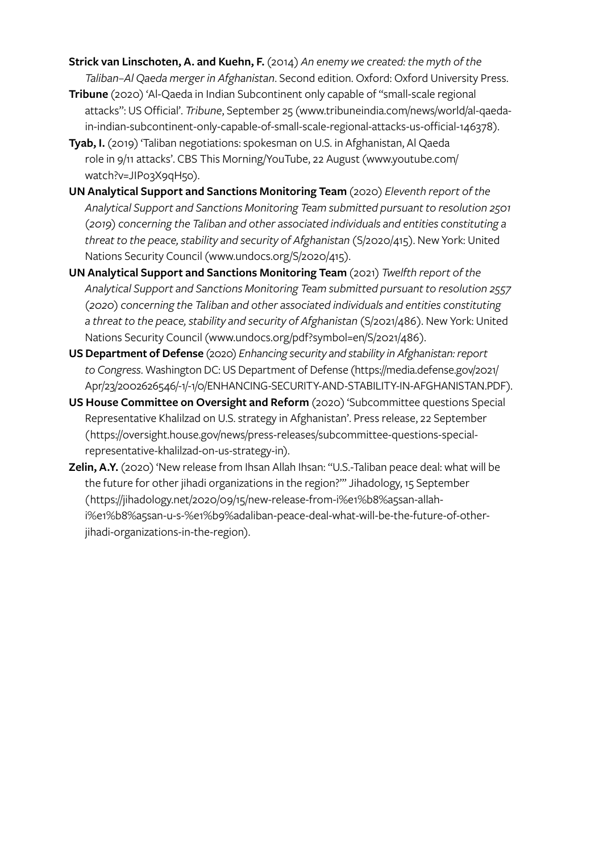**Strick van Linschoten, A. and Kuehn, F.** (2014) *An enemy we created: the myth of the Taliban–Al Qaeda merger in Afghanistan*. Second edition. Oxford: Oxford University Press.

- **Tribune** (2020) 'Al-Qaeda in Indian Subcontinent only capable of "small-scale regional attacks": US Official'. *Tribune*, September 25 ([www.tribuneindia.com/news/world/al-qaeda](http://www.tribuneindia.com/news/world/al-qaeda-in-indian-subcontinent-only-capable-of-small-scale-regional-attacks-us-official-146378)[in-indian-subcontinent-only-capable-of-small-scale-regional-attacks-us-official-146378\)](http://www.tribuneindia.com/news/world/al-qaeda-in-indian-subcontinent-only-capable-of-small-scale-regional-attacks-us-official-146378).
- **Tyab, I.** (2019) 'Taliban negotiations: spokesman on U.S. in Afghanistan, Al Qaeda role in 9/11 attacks'. CBS This Morning/YouTube, 22 August ([www.youtube.com/](http://www.youtube.com/watch?v=JIPo3X9qH5o) [watch?v=JIPo3X9qH5o\)](http://www.youtube.com/watch?v=JIPo3X9qH5o).
- **UN Analytical Support and Sanctions Monitoring Team** (2020) *Eleventh report of the Analytical Support and Sanctions Monitoring Team submitted pursuant to resolution 2501 (2019) concerning the Taliban and other associated individuals and entities constituting a threat to the peace, stability and security of Afghanistan* (S/2020/415). New York: United Nations Security Council [\(www.undocs.org/S/2020/415](http://www.undocs.org/S/2020/415)).
- **UN Analytical Support and Sanctions Monitoring Team** (2021) *Twelfth report of the Analytical Support and Sanctions Monitoring Team submitted pursuant to resolution 2557 (2020) concerning the Taliban and other associated individuals and entities constituting a threat to the peace, stability and security of Afghanistan* (S/2021/486). New York: United Nations Security Council [\(www.undocs.org/pdf?symbol=en/S/2021/486\)](http://www.undocs.org/pdf?symbol=en/S/2021/486).
- **US Department of Defense** (2020) *Enhancing security and stability in Afghanistan: report to Congress*. Washington DC: US Department of Defense [\(https://media.defense.gov/2021/](https://media.defense.gov/2021/Apr/23/2002626546/-1/-1/0/ENHANCING-SECURITY-AND-STABILITY-IN-AFGHANISTAN.PDF) [Apr/23/2002626546/-1/-1/0/ENHANCING-SECURITY-AND-STABILITY-IN-AFGHANISTAN.PDF](https://media.defense.gov/2021/Apr/23/2002626546/-1/-1/0/ENHANCING-SECURITY-AND-STABILITY-IN-AFGHANISTAN.PDF)).
- **US House Committee on Oversight and Reform** (2020) 'Subcommittee questions Special Representative Khalilzad on U.S. strategy in Afghanistan'. Press release, 22 September ([https://oversight.house.gov/news/press-releases/subcommittee-questions-special](https://oversight.house.gov/news/press-releases/subcommittee-questions-special-representative-khalilzad-on-us-strategy-in)[representative-khalilzad-on-us-strategy-in\)](https://oversight.house.gov/news/press-releases/subcommittee-questions-special-representative-khalilzad-on-us-strategy-in).
- **Zelin, A.Y.** (2020) 'New release from Ihsan Allah Ihsan: "U.S.-Taliban peace deal: what will be the future for other jihadi organizations in the region?"' Jihadology, 15 September ([https://jihadology.net/2020/09/15/new-release-from-i%e1%b8%a5san-allah](https://jihadology.net/2020/09/15/new-release-from-i%e1%b8%a5san-allah-i%e1%b8%a5san-u-s-%e1%b9%adaliban-peace-deal-what-will-be-the-future-of-other-jihadi-organizations-in-the-region)[i%e1%b8%a5san-u-s-%e1%b9%adaliban-peace-deal-what-will-be-the-future-of-other](https://jihadology.net/2020/09/15/new-release-from-i%e1%b8%a5san-allah-i%e1%b8%a5san-u-s-%e1%b9%adaliban-peace-deal-what-will-be-the-future-of-other-jihadi-organizations-in-the-region)[jihadi-organizations-in-the-region\)](https://jihadology.net/2020/09/15/new-release-from-i%e1%b8%a5san-allah-i%e1%b8%a5san-u-s-%e1%b9%adaliban-peace-deal-what-will-be-the-future-of-other-jihadi-organizations-in-the-region).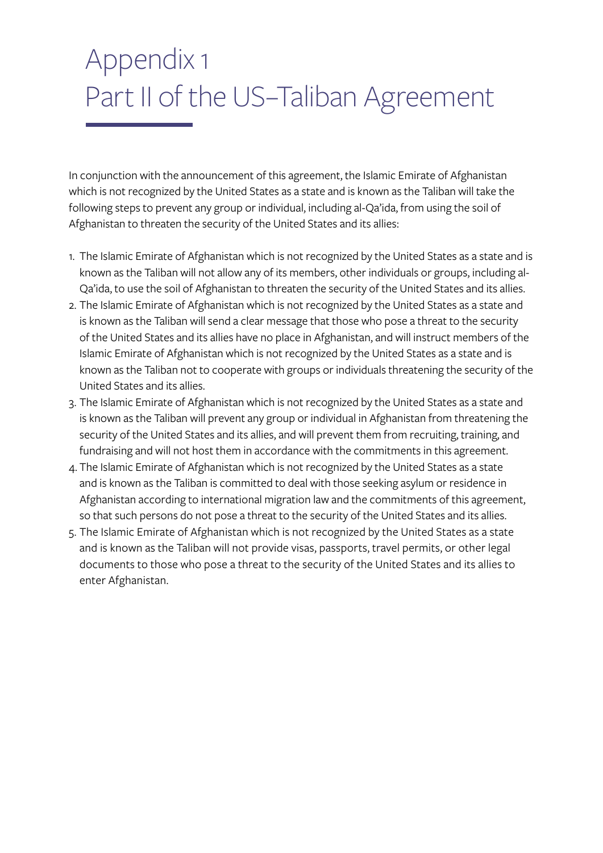### Appendix 1 Part II of the US–Taliban Agreement

In conjunction with the announcement of this agreement, the Islamic Emirate of Afghanistan which is not recognized by the United States as a state and is known as the Taliban will take the following steps to prevent any group or individual, including al-Qa'ida, from using the soil of Afghanistan to threaten the security of the United States and its allies:

- 1. The Islamic Emirate of Afghanistan which is not recognized by the United States as a state and is known as the Taliban will not allow any of its members, other individuals or groups, including al-Qa'ida, to use the soil of Afghanistan to threaten the security of the United States and its allies.
- 2. The Islamic Emirate of Afghanistan which is not recognized by the United States as a state and is known as the Taliban will send a clear message that those who pose a threat to the security of the United States and its allies have no place in Afghanistan, and will instruct members of the Islamic Emirate of Afghanistan which is not recognized by the United States as a state and is known as the Taliban not to cooperate with groups or individuals threatening the security of the United States and its allies.
- 3. The Islamic Emirate of Afghanistan which is not recognized by the United States as a state and is known as the Taliban will prevent any group or individual in Afghanistan from threatening the security of the United States and its allies, and will prevent them from recruiting, training, and fundraising and will not host them in accordance with the commitments in this agreement.
- 4. The Islamic Emirate of Afghanistan which is not recognized by the United States as a state and is known as the Taliban is committed to deal with those seeking asylum or residence in Afghanistan according to international migration law and the commitments of this agreement, so that such persons do not pose a threat to the security of the United States and its allies.
- 5. The Islamic Emirate of Afghanistan which is not recognized by the United States as a state and is known as the Taliban will not provide visas, passports, travel permits, or other legal documents to those who pose a threat to the security of the United States and its allies to enter Afghanistan.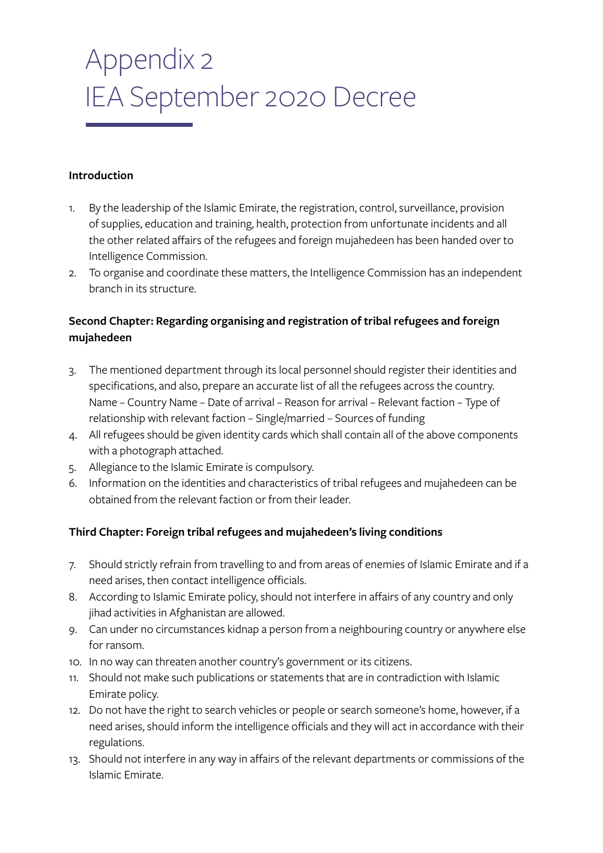### Appendix 2 IEA September 2020 Decree

#### **Introduction**

- 1. By the leadership of the Islamic Emirate, the registration, control, surveillance, provision of supplies, education and training, health, protection from unfortunate incidents and all the other related affairs of the refugees and foreign mujahedeen has been handed over to Intelligence Commission.
- 2. To organise and coordinate these matters, the Intelligence Commission has an independent branch in its structure.

#### **Second Chapter: Regarding organising and registration of tribal refugees and foreign mujahedeen**

- 3. The mentioned department through its local personnel should register their identities and specifications, and also, prepare an accurate list of all the refugees across the country. Name – Country Name – Date of arrival – Reason for arrival – Relevant faction – Type of relationship with relevant faction – Single/married – Sources of funding
- 4. All refugees should be given identity cards which shall contain all of the above components with a photograph attached.
- 5. Allegiance to the Islamic Emirate is compulsory.
- 6. Information on the identities and characteristics of tribal refugees and mujahedeen can be obtained from the relevant faction or from their leader.

#### **Third Chapter: Foreign tribal refugees and mujahedeen's living conditions**

- 7. Should strictly refrain from travelling to and from areas of enemies of Islamic Emirate and if a need arises, then contact intelligence officials.
- 8. According to Islamic Emirate policy, should not interfere in affairs of any country and only jihad activities in Afghanistan are allowed.
- 9. Can under no circumstances kidnap a person from a neighbouring country or anywhere else for ransom.
- 10. In no way can threaten another country's government or its citizens.
- 11. Should not make such publications or statements that are in contradiction with Islamic Emirate policy.
- 12. Do not have the right to search vehicles or people or search someone's home, however, if a need arises, should inform the intelligence officials and they will act in accordance with their regulations.
- 13. Should not interfere in any way in affairs of the relevant departments or commissions of the Islamic Emirate.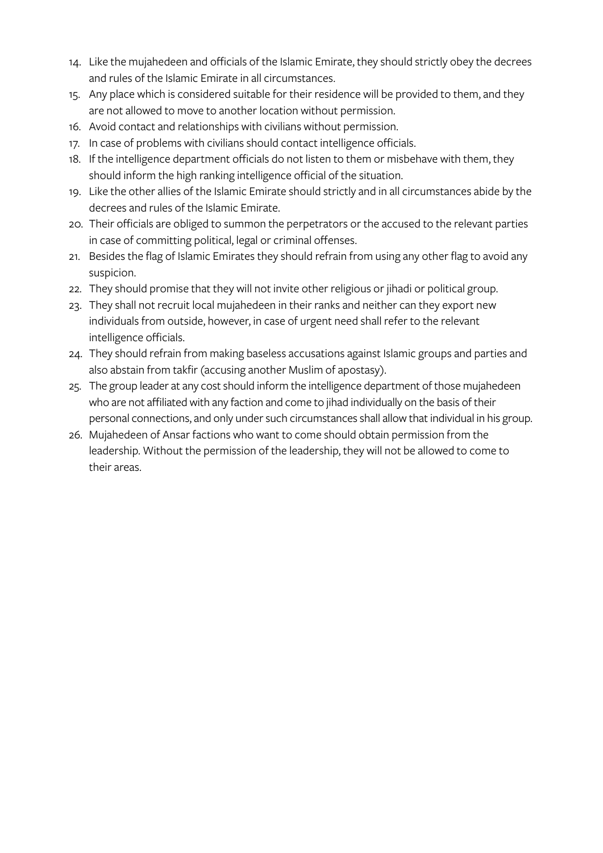- 14. Like the mujahedeen and officials of the Islamic Emirate, they should strictly obey the decrees and rules of the Islamic Emirate in all circumstances.
- 15. Any place which is considered suitable for their residence will be provided to them, and they are not allowed to move to another location without permission.
- 16. Avoid contact and relationships with civilians without permission.
- 17. In case of problems with civilians should contact intelligence officials.
- 18. If the intelligence department officials do not listen to them or misbehave with them, they should inform the high ranking intelligence official of the situation.
- 19. Like the other allies of the Islamic Emirate should strictly and in all circumstances abide by the decrees and rules of the Islamic Emirate.
- 20. Their officials are obliged to summon the perpetrators or the accused to the relevant parties in case of committing political, legal or criminal offenses.
- 21. Besides the flag of Islamic Emirates they should refrain from using any other flag to avoid any suspicion.
- 22. They should promise that they will not invite other religious or jihadi or political group.
- 23. They shall not recruit local mujahedeen in their ranks and neither can they export new individuals from outside, however, in case of urgent need shall refer to the relevant intelligence officials.
- 24. They should refrain from making baseless accusations against Islamic groups and parties and also abstain from takfir (accusing another Muslim of apostasy).
- 25. The group leader at any cost should inform the intelligence department of those mujahedeen who are not affiliated with any faction and come to jihad individually on the basis of their personal connections, and only under such circumstances shall allow that individual in his group.
- 26. Mujahedeen of Ansar factions who want to come should obtain permission from the leadership. Without the permission of the leadership, they will not be allowed to come to their areas.